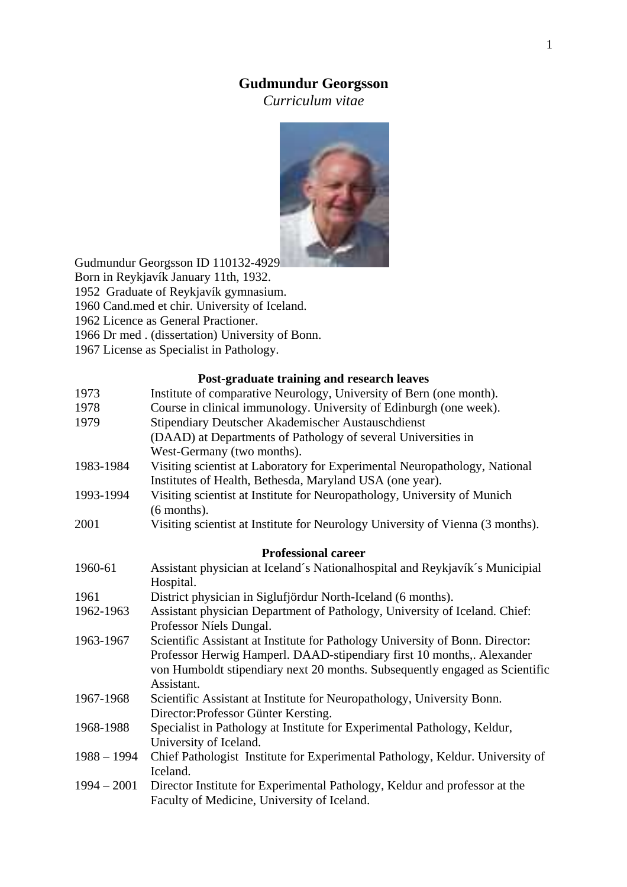# **Gudmundur Georgsson**

*Curriculum vitae* 



Gudmundur Georgsson ID 110132-4929

Born in Reykjavík January 11th, 1932.

1952 Graduate of Reykjavík gymnasium.

1960 Cand.med et chir. University of Iceland.

1962 Licence as General Practioner.

1966 Dr med . (dissertation) University of Bonn.

1967 License as Specialist in Pathology.

## **Post-graduate training and research leaves**

| 1973                       | Institute of comparative Neurology, University of Bern (one month).            |  |
|----------------------------|--------------------------------------------------------------------------------|--|
| 1978                       | Course in clinical immunology. University of Edinburgh (one week).             |  |
| 1979                       | Stipendiary Deutscher Akademischer Austauschdienst                             |  |
|                            | (DAAD) at Departments of Pathology of several Universities in                  |  |
|                            | West-Germany (two months).                                                     |  |
| 1983-1984                  | Visiting scientist at Laboratory for Experimental Neuropathology, National     |  |
|                            | Institutes of Health, Bethesda, Maryland USA (one year).                       |  |
| 1993-1994                  | Visiting scientist at Institute for Neuropathology, University of Munich       |  |
|                            | (6 months).                                                                    |  |
| 2001                       | Visiting scientist at Institute for Neurology University of Vienna (3 months). |  |
| <b>Professional career</b> |                                                                                |  |
| 1960-61                    | Assistant physician at Iceland's Nationalhospital and Reykjavík's Municipial   |  |
|                            | Hospital.                                                                      |  |
| 1961                       | District physician in Siglufjördur North-Iceland (6 months).                   |  |
| 1962-1963                  | Assistant physician Department of Pathology, University of Iceland. Chief:     |  |
|                            | Professor Níels Dungal.                                                        |  |
| 1963-1967                  | Scientific Assistant at Institute for Pathology University of Bonn. Director:  |  |
|                            | Professor Herwig Hamperl. DAAD-stipendiary first 10 months,. Alexander         |  |
|                            | von Humboldt stipendiary next 20 months. Subsequently engaged as Scientific    |  |
|                            | Assistant.                                                                     |  |
| 1967-1968                  | Scientific Assistant at Institute for Neuropathology, University Bonn.         |  |
|                            | Director: Professor Günter Kersting.                                           |  |
| 1968-1988                  | Specialist in Pathology at Institute for Experimental Pathology, Keldur,       |  |
|                            | University of Iceland.                                                         |  |
| $1988 - 1994$              | Chief Pathologist Institute for Experimental Pathology, Keldur. University of  |  |
|                            | Iceland.                                                                       |  |
| $1994 - 2001$              | Director Institute for Experimental Pathology, Keldur and professor at the     |  |
|                            | Faculty of Medicine, University of Iceland.                                    |  |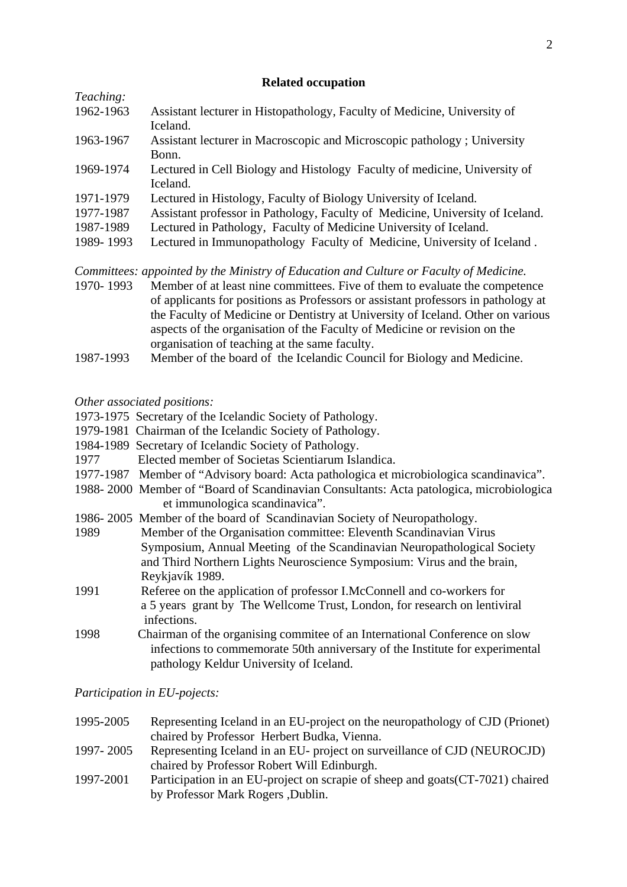#### **Related occupation**

| Teaching: |                                                                               |
|-----------|-------------------------------------------------------------------------------|
| 1962-1963 | Assistant lecturer in Histopathology, Faculty of Medicine, University of      |
|           | Iceland.                                                                      |
| 1963-1967 | Assistant lecturer in Macroscopic and Microscopic pathology ; University      |
|           | Bonn.                                                                         |
| 1969-1974 | Lectured in Cell Biology and Histology Faculty of medicine, University of     |
|           | Iceland.                                                                      |
| 1971-1979 | Lectured in Histology, Faculty of Biology University of Iceland.              |
| 1977-1987 | Assistant professor in Pathology, Faculty of Medicine, University of Iceland. |
| 1987-1989 | Lectured in Pathology, Faculty of Medicine University of Iceland.             |
| 1989-1993 | Lectured in Immunopathology Faculty of Medicine, University of Iceland.       |
|           |                                                                               |

*Committees: appointed by the Ministry of Education and Culture or Faculty of Medicine.* 

- 1970- 1993Member of at least nine committees. Five of them to evaluate the competence of applicants for positions as Professors or assistant professors in pathology at the Faculty of Medicine or Dentistry at University of Iceland. Other on various aspects of the organisation of the Faculty of Medicine or revision on the organisation of teaching at the same faculty.
- 1987-1993 Member of the board of the Icelandic Council for Biology and Medicine.

## *Other associated positions:*

- 1973-1975 Secretary of the Icelandic Society of Pathology.
- 1979-1981 Chairman of the Icelandic Society of Pathology.
- 1984-1989 Secretary of Icelandic Society of Pathology.
- 1977 Elected member of Societas Scientiarum Islandica.
- 1977-1987 Member of "Advisory board: Acta pathologica et microbiologica scandinavica".
- 1988- 2000 Member of "Board of Scandinavian Consultants: Acta patologica, microbiologica et immunologica scandinavica".
- 1986- 2005 Member of the board of Scandinavian Society of Neuropathology.
- 1989 Member of the Organisation committee: Eleventh Scandinavian Virus Symposium, Annual Meeting of the Scandinavian Neuropathological Society and Third Northern Lights Neuroscience Symposium: Virus and the brain, Reykjavík 1989.
- 1991 Referee on the application of professor I.McConnell and co-workers for a 5 years grant by The Wellcome Trust, London, for research on lentiviral infections.
- 1998 Chairman of the organising commitee of an International Conference on slow infections to commemorate 50th anniversary of the Institute for experimental pathology Keldur University of Iceland.

# *Participation in EU-pojects:*

- 1995-2005 Representing Iceland in an EU-project on the neuropathology of CJD (Prionet) chaired by Professor Herbert Budka, Vienna.
- 1997- 2005 Representing Iceland in an EU- project on surveillance of CJD (NEUROCJD) chaired by Professor Robert Will Edinburgh.
- 1997-2001 Participation in an EU-project on scrapie of sheep and goats(CT-7021) chaired by Professor Mark Rogers ,Dublin.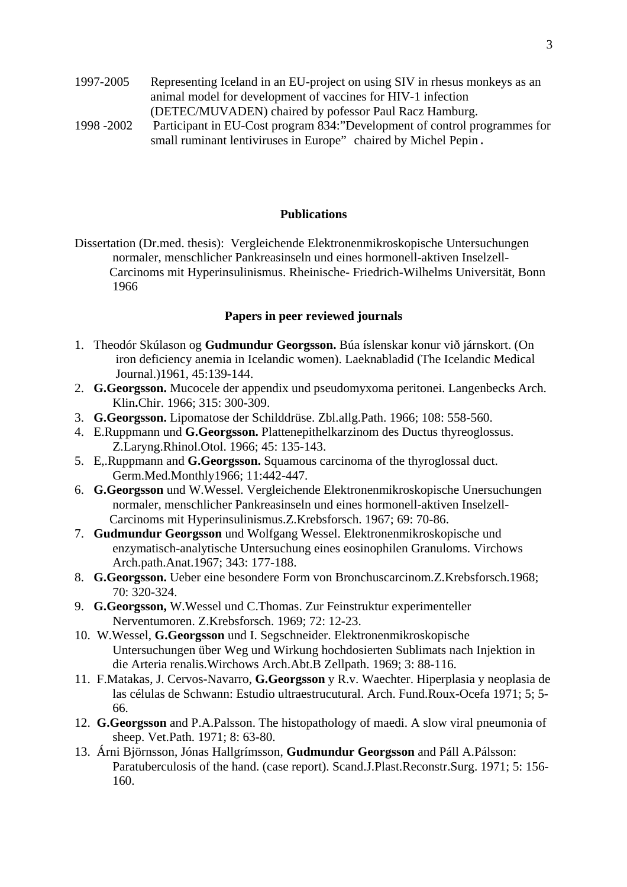- 1997-2005 Representing Iceland in an EU-project on using SIV in rhesus monkeys as an animal model for development of vaccines for HIV-1 infection (DETEC/MUVADEN) chaired by pofessor Paul Racz Hamburg.
- 1998 -2002 Participant in EU-Cost program 834:"Development of control programmes for small ruminant lentiviruses in Europe" chaired by Michel Pepin.

## **Publications**

Dissertation (Dr.med. thesis): Vergleichende Elektronenmikroskopische Untersuchungen normaler, menschlicher Pankreasinseln und eines hormonell-aktiven Inselzell- Carcinoms mit Hyperinsulinismus. Rheinische- Friedrich-Wilhelms Universität, Bonn 1966

#### **Papers in peer reviewed journals**

- 1. Theodór Skúlason og **Gudmundur Georgsson.** Búa íslenskar konur við járnskort. (On iron deficiency anemia in Icelandic women). Laeknabladid (The Icelandic Medical Journal.)1961, 45:139-144.
- 2. **G.Georgsson.** Mucocele der appendix und pseudomyxoma peritonei. Langenbecks Arch. Klin**.**Chir. 1966; 315: 300-309.
- 3. **G.Georgsson.** Lipomatose der Schilddrüse. Zbl.allg.Path. 1966; 108: 558-560.
- 4. E.Ruppmann und **G.Georgsson.** Plattenepithelkarzinom des Ductus thyreoglossus. Z.Laryng.Rhinol.Otol. 1966; 45: 135-143.
- 5. E,.Ruppmann and **G.Georgsson.** Squamous carcinoma of the thyroglossal duct. Germ.Med.Monthly1966; 11:442-447.
- 6. **G.Georgsson** und W.Wessel. Vergleichende Elektronenmikroskopische Unersuchungen normaler, menschlicher Pankreasinseln und eines hormonell-aktiven Inselzell- Carcinoms mit Hyperinsulinismus.Z.Krebsforsch. 1967; 69: 70-86.
- 7. **Gudmundur Georgsson** und Wolfgang Wessel. Elektronenmikroskopische und enzymatisch-analytische Untersuchung eines eosinophilen Granuloms. Virchows Arch.path.Anat.1967; 343: 177-188.
- 8. **G.Georgsson.** Ueber eine besondere Form von Bronchuscarcinom.Z.Krebsforsch.1968; 70: 320-324.
- 9. **G.Georgsson,** W.Wessel und C.Thomas. Zur Feinstruktur experimenteller Nerventumoren. Z.Krebsforsch. 1969; 72: 12-23.
- 10. W.Wessel, **G.Georgsson** und I. Segschneider. Elektronenmikroskopische Untersuchungen über Weg und Wirkung hochdosierten Sublimats nach Injektion in die Arteria renalis.Wirchows Arch.Abt.B Zellpath. 1969; 3: 88-116.
- 11. F.Matakas, J. Cervos-Navarro, **G.Georgsson** y R.v. Waechter. Hiperplasia y neoplasia de las células de Schwann: Estudio ultraestrucutural. Arch. Fund.Roux-Ocefa 1971; 5; 5- 66.
- 12. **G.Georgsson** and P.A.Palsson. The histopathology of maedi. A slow viral pneumonia of sheep. Vet.Path. 1971; 8: 63-80.
- 13. Árni Björnsson, Jónas Hallgrímsson, **Gudmundur Georgsson** and Páll A.Pálsson: Paratuberculosis of the hand. (case report). Scand.J.Plast.Reconstr.Surg. 1971; 5: 156- 160.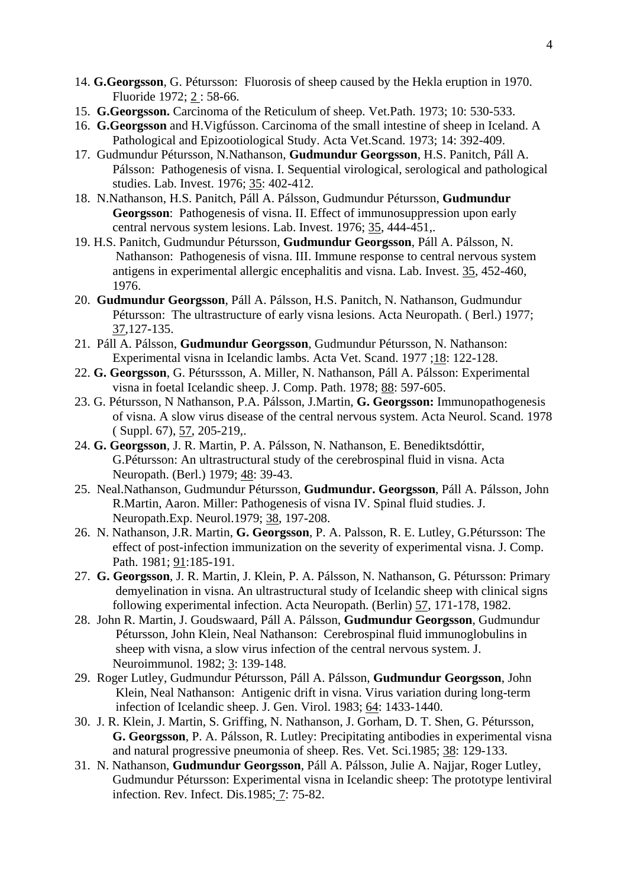- 14. **G.Georgsson**, G. Pétursson: Fluorosis of sheep caused by the Hekla eruption in 1970. Fluoride 1972; 2 : 58-66.
- 15. **G.Georgsson.** Carcinoma of the Reticulum of sheep. Vet.Path. 1973; 10: 530-533.
- 16. **G.Georgsson** and H.Vigfússon. Carcinoma of the small intestine of sheep in Iceland. A Pathological and Epizootiological Study. Acta Vet.Scand. 1973; 14: 392-409.
- 17. Gudmundur Pétursson, N.Nathanson, **Gudmundur Georgsson**, H.S. Panitch, Páll A. Pálsson: Pathogenesis of visna. I. Sequential virological, serological and pathological studies. Lab. Invest. 1976; 35: 402-412.
- 18. N.Nathanson, H.S. Panitch, Páll A. Pálsson, Gudmundur Pétursson, **Gudmundur Georgsson**: Pathogenesis of visna. II. Effect of immunosuppression upon early central nervous system lesions. Lab. Invest. 1976; 35, 444-451,.
- 19. H.S. Panitch, Gudmundur Pétursson, **Gudmundur Georgsson**, Páll A. Pálsson, N. Nathanson: Pathogenesis of visna. III. Immune response to central nervous system antigens in experimental allergic encephalitis and visna. Lab. Invest. 35, 452-460, 1976.
- 20. **Gudmundur Georgsson**, Páll A. Pálsson, H.S. Panitch, N. Nathanson, Gudmundur Pétursson: The ultrastructure of early visna lesions. Acta Neuropath. (Berl.) 1977; 37,127-135.
- 21. Páll A. Pálsson, **Gudmundur Georgsson**, Gudmundur Pétursson, N. Nathanson: Experimental visna in Icelandic lambs. Acta Vet. Scand. 1977 ;18: 122-128.
- 22. **G. Georgsson**, G. Péturssson, A. Miller, N. Nathanson, Páll A. Pálsson: Experimental visna in foetal Icelandic sheep. J. Comp. Path. 1978; 88: 597-605.
- 23. G. Pétursson, N Nathanson, P.A. Pálsson, J.Martin, **G. Georgsson:** Immunopathogenesis of visna. A slow virus disease of the central nervous system. Acta Neurol. Scand. 1978 ( Suppl. 67), 57, 205-219,.
- 24. **G. Georgsson**, J. R. Martin, P. A. Pálsson, N. Nathanson, E. Benediktsdóttir, G.Pétursson: An ultrastructural study of the cerebrospinal fluid in visna. Acta Neuropath. (Berl.) 1979; 48: 39-43.
- 25. Neal.Nathanson, Gudmundur Pétursson, **Gudmundur. Georgsson**, Páll A. Pálsson, John R.Martin, Aaron. Miller: Pathogenesis of visna IV. Spinal fluid studies. J. Neuropath.Exp. Neurol.1979; 38, 197-208.
- 26. N. Nathanson, J.R. Martin, **G. Georgsson**, P. A. Palsson, R. E. Lutley, G.Pétursson: The effect of post-infection immunization on the severity of experimental visna. J. Comp. Path. 1981; 91:185-191.
- 27. **G. Georgsson**, J. R. Martin, J. Klein, P. A. Pálsson, N. Nathanson, G. Pétursson: Primary demyelination in visna. An ultrastructural study of Icelandic sheep with clinical signs following experimental infection. Acta Neuropath. (Berlin) 57, 171-178, 1982.
- 28. John R. Martin, J. Goudswaard, Páll A. Pálsson, **Gudmundur Georgsson**, Gudmundur Pétursson, John Klein, Neal Nathanson: Cerebrospinal fluid immunoglobulins in sheep with visna, a slow virus infection of the central nervous system. J. Neuroimmunol. 1982; 3: 139-148.
- 29. Roger Lutley, Gudmundur Pétursson, Páll A. Pálsson, **Gudmundur Georgsson**, John Klein, Neal Nathanson: Antigenic drift in visna. Virus variation during long-term infection of Icelandic sheep. J. Gen. Virol. 1983; 64: 1433-1440.
- 30. J. R. Klein, J. Martin, S. Griffing, N. Nathanson, J. Gorham, D. T. Shen, G. Pétursson, **G. Georgsson**, P. A. Pálsson, R. Lutley: Precipitating antibodies in experimental visna and natural progressive pneumonia of sheep. Res. Vet. Sci.1985; 38: 129-133.
- 31. N. Nathanson, **Gudmundur Georgsson**, Páll A. Pálsson, Julie A. Najjar, Roger Lutley, Gudmundur Pétursson: Experimental visna in Icelandic sheep: The prototype lentiviral infection. Rev. Infect. Dis.1985; 7: 75-82.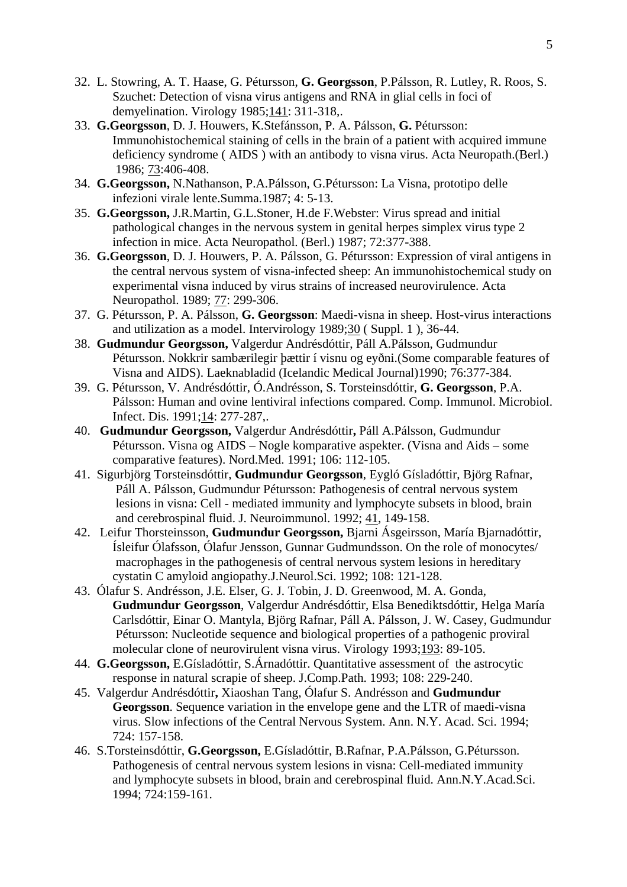- 32. L. Stowring, A. T. Haase, G. Pétursson, **G. Georgsson**, P.Pálsson, R. Lutley, R. Roos, S. Szuchet: Detection of visna virus antigens and RNA in glial cells in foci of demyelination. Virology 1985;141: 311-318,.
- 33. **G.Georgsson**, D. J. Houwers, K.Stefánsson, P. A. Pálsson, **G.** Pétursson: Immunohistochemical staining of cells in the brain of a patient with acquired immune deficiency syndrome ( AIDS ) with an antibody to visna virus. Acta Neuropath.(Berl.) 1986; 73:406-408.
- 34. **G.Georgsson,** N.Nathanson, P.A.Pálsson, G.Pétursson: La Visna, prototipo delle infezioni virale lente.Summa.1987; 4: 5-13.
- 35. **G.Georgsson,** J.R.Martin, G.L.Stoner, H.de F.Webster: Virus spread and initial pathological changes in the nervous system in genital herpes simplex virus type 2 infection in mice. Acta Neuropathol. (Berl.) 1987; 72:377-388.
- 36. **G.Georgsson**, D. J. Houwers, P. A. Pálsson, G. Pétursson: Expression of viral antigens in the central nervous system of visna-infected sheep: An immunohistochemical study on experimental visna induced by virus strains of increased neurovirulence. Acta Neuropathol. 1989; 77: 299-306.
- 37. G. Pétursson, P. A. Pálsson, **G. Georgsson**: Maedi-visna in sheep. Host-virus interactions and utilization as a model. Intervirology 1989;30 ( Suppl. 1 ), 36-44.
- 38. **Gudmundur Georgsson,** Valgerdur Andrésdóttir, Páll A.Pálsson, Gudmundur Pétursson. Nokkrir sambærilegir þættir í visnu og eyðni.(Some comparable features of Visna and AIDS). Laeknabladid (Icelandic Medical Journal)1990; 76:377-384.
- 39. G. Pétursson, V. Andrésdóttir, Ó.Andrésson, S. Torsteinsdóttir, **G. Georgsson**, P.A. Pálsson: Human and ovine lentiviral infections compared. Comp. Immunol. Microbiol. Infect. Dis. 1991;14: 277-287,.
- 40. **Gudmundur Georgsson,** Valgerdur Andrésdóttir**,** Páll A.Pálsson, Gudmundur Pétursson. Visna og AIDS – Nogle komparative aspekter. (Visna and Aids – some comparative features). Nord.Med. 1991; 106: 112-105.
- 41. Sigurbjörg Torsteinsdóttir, **Gudmundur Georgsson**, Eygló Gísladóttir, Björg Rafnar, Páll A. Pálsson, Gudmundur Pétursson: Pathogenesis of central nervous system lesions in visna: Cell - mediated immunity and lymphocyte subsets in blood, brain and cerebrospinal fluid. J. Neuroimmunol. 1992; 41, 149-158.
- 42. Leifur Thorsteinsson, **Gudmundur Georgsson,** Bjarni Ásgeirsson, María Bjarnadóttir, Ísleifur Ólafsson, Ólafur Jensson, Gunnar Gudmundsson. On the role of monocytes/ macrophages in the pathogenesis of central nervous system lesions in hereditary cystatin C amyloid angiopathy.J.Neurol.Sci. 1992; 108: 121-128.
- 43. Ólafur S. Andrésson, J.E. Elser, G. J. Tobin, J. D. Greenwood, M. A. Gonda, **Gudmundur Georgsson**, Valgerdur Andrésdóttir, Elsa Benediktsdóttir, Helga María Carlsdóttir, Einar O. Mantyla, Björg Rafnar, Páll A. Pálsson, J. W. Casey, Gudmundur Pétursson: Nucleotide sequence and biological properties of a pathogenic proviral molecular clone of neurovirulent visna virus. Virology 1993;193: 89-105.
- 44. **G.Georgsson,** E.Gísladóttir, S.Árnadóttir. Quantitative assessment of the astrocytic response in natural scrapie of sheep. J.Comp.Path. 1993; 108: 229-240.
- 45. Valgerdur Andrésdóttir**,** Xiaoshan Tang, Ólafur S. Andrésson and **Gudmundur Georgsson**. Sequence variation in the envelope gene and the LTR of maedi-visna virus. Slow infections of the Central Nervous System. Ann. N.Y. Acad. Sci. 1994; 724: 157-158.
- 46. S.Torsteinsdóttir, **G.Georgsson,** E.Gísladóttir, B.Rafnar, P.A.Pálsson, G.Pétursson. Pathogenesis of central nervous system lesions in visna: Cell-mediated immunity and lymphocyte subsets in blood, brain and cerebrospinal fluid. Ann.N.Y.Acad.Sci. 1994; 724:159-161.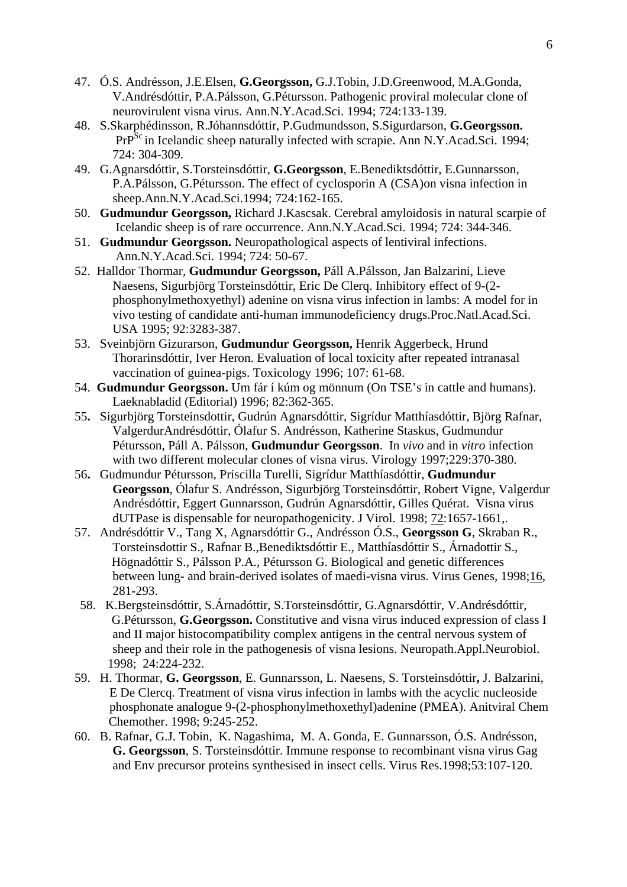- 47. Ó.S. Andrésson, J.E.Elsen, **G.Georgsson,** G.J.Tobin, J.D.Greenwood, M.A.Gonda, V.Andrésdóttir, P.A.Pálsson, G.Pétursson. Pathogenic proviral molecular clone of neurovirulent visna virus. Ann.N.Y.Acad.Sci. 1994; 724:133-139.
- 48. S.Skarphédinsson, R.Jóhannsdóttir, P.Gudmundsson, S.Sigurdarson, **G.Georgsson.**  PrP<sup>Sc</sup> in Icelandic sheep naturally infected with scrapie. Ann N.Y.Acad.Sci. 1994; 724: 304-309.
- 49. G.Agnarsdóttir, S.Torsteinsdóttir, **G.Georgsson**, E.Benediktsdóttir, E.Gunnarsson, P.A.Pálsson, G.Pétursson. The effect of cyclosporin A (CSA)on visna infection in sheep.Ann.N.Y.Acad.Sci.1994; 724:162-165.
- 50. **Gudmundur Georgsson,** Richard J.Kascsak. Cerebral amyloidosis in natural scarpie of Icelandic sheep is of rare occurrence. Ann.N.Y.Acad.Sci. 1994; 724: 344-346.
- 51. **Gudmundur Georgsson.** Neuropathological aspects of lentiviral infections. Ann.N.Y.Acad.Sci. 1994; 724: 50-67.
- 52. Halldor Thormar, **Gudmundur Georgsson,** Páll A.Pálsson, Jan Balzarini, Lieve Naesens, Sigurbjörg Torsteinsdóttir, Eric De Clerq. Inhibitory effect of 9-(2 phosphonylmethoxyethyl) adenine on visna virus infection in lambs: A model for in vivo testing of candidate anti-human immunodeficiency drugs.Proc.Natl.Acad.Sci. USA 1995; 92:3283-387.
- 53. Sveinbjörn Gizurarson, **Gudmundur Georgsson,** Henrik Aggerbeck, Hrund Thorarinsdóttir, Iver Heron. Evaluation of local toxicity after repeated intranasal vaccination of guinea-pigs. Toxicology 1996; 107: 61-68.
- 54. **Gudmundur Georgsson.** Um fár í kúm og mönnum (On TSE's in cattle and humans). Laeknabladid (Editorial) 1996; 82:362-365.
- 55**.** Sigurbjörg Torsteinsdottir, Gudrún Agnarsdóttir, Sigrídur Matthíasdóttir, Björg Rafnar, ValgerdurAndrésdóttir, Ólafur S. Andrésson, Katherine Staskus, Gudmundur Pétursson, Páll A. Pálsson, **Gudmundur Georgsson**. In *vivo* and in *vitro* infection with two different molecular clones of visna virus. Virology 1997;229:370-380.
- 56**.** Gudmundur Pétursson, Priscilla Turelli, Sigrídur Matthíasdóttir, **Gudmundur Georgsson**, Ólafur S. Andrésson, Sigurbjörg Torsteinsdóttir, Robert Vigne, Valgerdur Andrésdóttir, Eggert Gunnarsson, Gudrún Agnarsdóttir, Gilles Quérat. Visna virus dUTPase is dispensable for neuropathogenicity. J Virol. 1998; 72:1657-1661,.
- 57. Andrésdóttir V., Tang X, Agnarsdóttir G., Andrésson Ó.S., **Georgsson G**, Skraban R., Torsteinsdottir S., Rafnar B.,Benediktsdóttir E., Matthíasdóttir S., Árnadottir S., Högnadóttir S., Pálsson P.A., Pétursson G. Biological and genetic differences between lung- and brain-derived isolates of maedi-visna virus. Virus Genes, 1998;16, 281-293.
- 58. K.Bergsteinsdóttir, S.Árnadóttir, S.Torsteinsdóttir, G.Agnarsdóttir, V.Andrésdóttir, G.Pétursson, **G.Georgsson.** Constitutive and visna virus induced expression of class I and II major histocompatibility complex antigens in the central nervous system of sheep and their role in the pathogenesis of visna lesions. Neuropath.Appl.Neurobiol. 1998; 24:224-232.
- 59. H. Thormar, **G. Georgsson**, E. Gunnarsson, L. Naesens, S. Torsteinsdóttir**,** J. Balzarini, E De Clercq. Treatment of visna virus infection in lambs with the acyclic nucleoside phosphonate analogue 9-(2-phosphonylmethoxethyl)adenine (PMEA). Anitviral Chem Chemother. 1998; 9:245-252.
- 60. B. Rafnar, G.J. Tobin, K. Nagashima, M. A. Gonda, E. Gunnarsson, Ó.S. Andrésson, **G. Georgsson**, S. Torsteinsdóttir. Immune response to recombinant visna virus Gag and Env precursor proteins synthesised in insect cells. Virus Res.1998;53:107-120.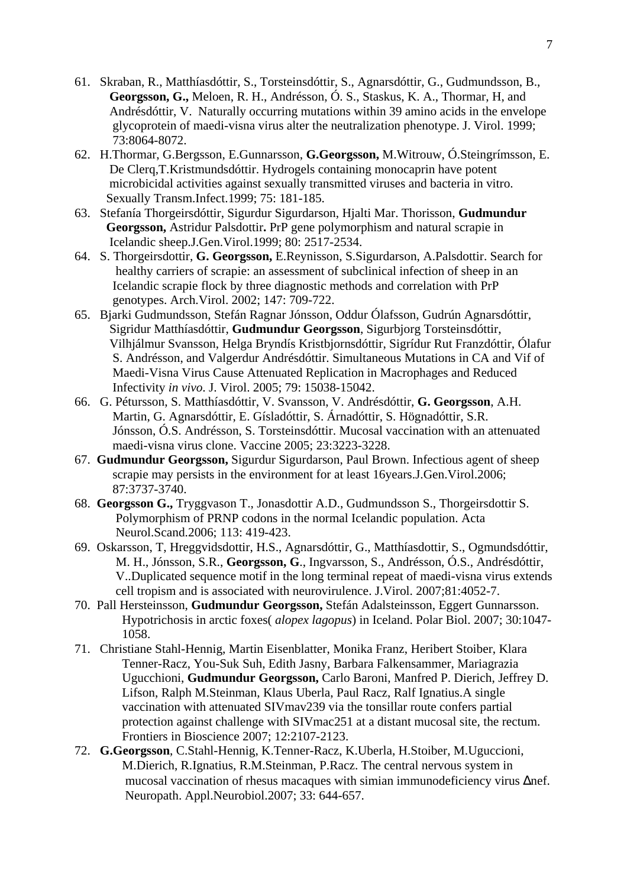- 61. Skraban, R., Matthíasdóttir, S., Torsteinsdóttir, S., Agnarsdóttir, G., Gudmundsson, B.,  **Georgsson, G.,** Meloen, R. H., Andrésson, Ó. S., Staskus, K. A., Thormar, H, and Andrésdóttir, V. Naturally occurring mutations within 39 amino acids in the envelope glycoprotein of maedi-visna virus alter the neutralization phenotype. J. Virol. 1999; 73:8064-8072.
- 62. H.Thormar, G.Bergsson, E.Gunnarsson, **G.Georgsson,** M.Witrouw, Ó.Steingrímsson, E. De Clerq,T.Kristmundsdóttir. Hydrogels containing monocaprin have potent microbicidal activities against sexually transmitted viruses and bacteria in vitro. Sexually Transm.Infect.1999; 75: 181-185.
- 63. Stefanía Thorgeirsdóttir, Sigurdur Sigurdarson, Hjalti Mar. Thorisson, **Gudmundur Georgsson,** Astridur Palsdottir**.** PrP gene polymorphism and natural scrapie in Icelandic sheep.J.Gen.Virol.1999; 80: 2517-2534.
- 64. S. Thorgeirsdottir, **G. Georgsson,** E.Reynisson, S.Sigurdarson, A.Palsdottir. Search for healthy carriers of scrapie: an assessment of subclinical infection of sheep in an Icelandic scrapie flock by three diagnostic methods and correlation with PrP genotypes. Arch.Virol. 2002; 147: 709-722.
- 65. Bjarki Gudmundsson, Stefán Ragnar Jónsson, Oddur Ólafsson, Gudrún Agnarsdóttir, Sigridur Matthíasdóttir, **Gudmundur Georgsson**, Sigurbjorg Torsteinsdóttir, Vilhjálmur Svansson, Helga Bryndís Kristbjornsdóttir, Sigrídur Rut Franzdóttir, Ólafur S. Andrésson, and Valgerdur Andrésdóttir. Simultaneous Mutations in CA and Vif of Maedi-Visna Virus Cause Attenuated Replication in Macrophages and Reduced Infectivity *in vivo*. J. Virol. 2005; 79: 15038-15042.
- 66. G. Pétursson, S. Matthíasdóttir, V. Svansson, V. Andrésdóttir, **G. Georgsson**, A.H. Martin, G. Agnarsdóttir, E. Gísladóttir, S. Árnadóttir, S. Högnadóttir, S.R. Jónsson, Ó.S. Andrésson, S. Torsteinsdóttir. Mucosal vaccination with an attenuated maedi-visna virus clone. Vaccine 2005; 23:3223-3228.
- 67. **Gudmundur Georgsson,** Sigurdur Sigurdarson, Paul Brown. Infectious agent of sheep scrapie may persists in the environment for at least 16years.J.Gen.Virol.2006; 87:3737-3740.
- 68. **Georgsson G.,** Tryggvason T., Jonasdottir A.D., Gudmundsson S., Thorgeirsdottir S. Polymorphism of PRNP codons in the normal Icelandic population. Acta Neurol.Scand.2006; 113: 419-423.
- 69. Oskarsson, T, Hreggvidsdottir, H.S., Agnarsdóttir, G., Matthíasdottir, S., Ogmundsdóttir, M. H., Jónsson, S.R., **Georgsson, G**., Ingvarsson, S., Andrésson, Ó.S., Andrésdóttir, V..Duplicated sequence motif in the long terminal repeat of maedi-visna virus extends cell tropism and is associated with neurovirulence. J.Virol. 2007;81:4052-7.
- 70. Pall Hersteinsson, **Gudmundur Georgsson,** Stefán Adalsteinsson, Eggert Gunnarsson. Hypotrichosis in arctic foxes( *alopex lagopus*) in Iceland. Polar Biol. 2007; 30:1047- 1058.
- 71. Christiane Stahl-Hennig, Martin Eisenblatter, Monika Franz, Heribert Stoiber, Klara Tenner-Racz, You-Suk Suh, Edith Jasny, Barbara Falkensammer, Mariagrazia Ugucchioni, **Gudmundur Georgsson,** Carlo Baroni, Manfred P. Dierich, Jeffrey D. Lifson, Ralph M.Steinman, Klaus Uberla, Paul Racz, Ralf Ignatius.A single vaccination with attenuated SIVmav239 via the tonsillar route confers partial protection against challenge with SIVmac251 at a distant mucosal site, the rectum. Frontiers in Bioscience 2007; 12:2107-2123.
- 72. **G.Georgsson**, C.Stahl-Hennig, K.Tenner-Racz, K.Uberla, H.Stoiber, M.Uguccioni, M.Dierich, R.Ignatius, R.M.Steinman, P.Racz. The central nervous system in mucosal vaccination of rhesus macaques with simian immunodeficiency virus ∆nef. Neuropath. Appl.Neurobiol.2007; 33: 644-657.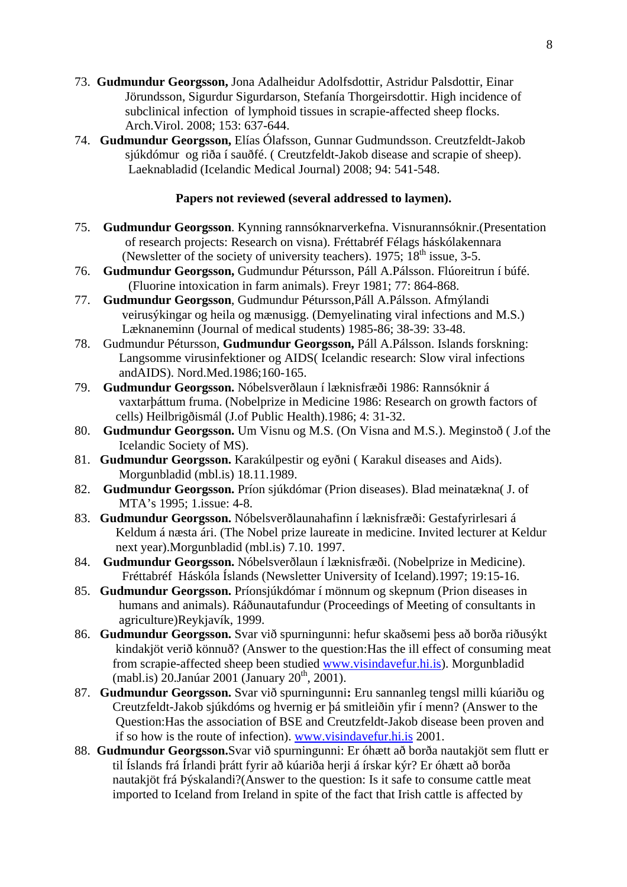- 73. **Gudmundur Georgsson,** Jona Adalheidur Adolfsdottir, Astridur Palsdottir, Einar Jörundsson, Sigurdur Sigurdarson, Stefanía Thorgeirsdottir. High incidence of subclinical infection of lymphoid tissues in scrapie-affected sheep flocks. Arch.Virol. 2008; 153: 637-644.
- 74. **Gudmundur Georgsson,** Elías Ólafsson, Gunnar Gudmundsson. Creutzfeldt-Jakob sjúkdómur og riða í sauðfé. ( Creutzfeldt-Jakob disease and scrapie of sheep). Laeknabladid (Icelandic Medical Journal) 2008; 94: 541-548.

## **Papers not reviewed (several addressed to laymen).**

- 75. **Gudmundur Georgsson**. Kynning rannsóknarverkefna. Visnurannsóknir.(Presentation of research projects: Research on visna). Fréttabréf Félags háskólakennara (Newsletter of the society of university teachers).  $1975$ ;  $18<sup>th</sup>$  issue, 3-5.
- 76. **Gudmundur Georgsson,** Gudmundur Pétursson, Páll A.Pálsson. Flúoreitrun í búfé. (Fluorine intoxication in farm animals). Freyr 1981; 77: 864-868.
- 77. **Gudmundur Georgsson**, Gudmundur Pétursson,Páll A.Pálsson. Afmýlandi veirusýkingar og heila og mænusigg. (Demyelinating viral infections and M.S.) Læknaneminn (Journal of medical students) 1985-86; 38-39: 33-48.
- 78. Gudmundur Pétursson, **Gudmundur Georgsson,** Páll A.Pálsson. Islands forskning: Langsomme virusinfektioner og AIDS( Icelandic research: Slow viral infections andAIDS). Nord.Med.1986;160-165.
- 79. **Gudmundur Georgsson.** Nóbelsverðlaun í læknisfræði 1986: Rannsóknir á vaxtarþáttum fruma. (Nobelprize in Medicine 1986: Research on growth factors of cells) Heilbrigðismál (J.of Public Health).1986; 4: 31-32.
- 80. **Gudmundur Georgsson.** Um Visnu og M.S. (On Visna and M.S.). Meginstoð ( J.of the Icelandic Society of MS).
- 81. **Gudmundur Georgsson.** Karakúlpestir og eyðni ( Karakul diseases and Aids). Morgunbladid (mbl.is) 18.11.1989.
- 82. **Gudmundur Georgsson.** Príon sjúkdómar (Prion diseases). Blad meinatækna( J. of MTA's 1995; 1.issue: 4-8.
- 83. **Gudmundur Georgsson.** Nóbelsverðlaunahafinn í læknisfræði: Gestafyrirlesari á Keldum á næsta ári. (The Nobel prize laureate in medicine. Invited lecturer at Keldur next year).Morgunbladid (mbl.is) 7.10. 1997.
- 84. **Gudmundur Georgsson.** Nóbelsverðlaun í læknisfræði. (Nobelprize in Medicine). Fréttabréf Háskóla Íslands (Newsletter University of Iceland).1997; 19:15-16.
- 85. **Gudmundur Georgsson.** Príonsjúkdómar í mönnum og skepnum (Prion diseases in humans and animals). Ráðunautafundur (Proceedings of Meeting of consultants in agriculture)Reykjavík, 1999.
- 86. **Gudmundur Georgsson.** Svar við spurningunni: hefur skaðsemi þess að borða riðusýkt kindakjöt verið könnuð? (Answer to the question:Has the ill effect of consuming meat from scrapie-affected sheep been studied www.visindavefur.hi.is). Morgunbladid (mabl.is) 20.Janúar 2001 (January 20<sup>th</sup>, 2001).
- 87. **Gudmundur Georgsson.** Svar við spurningunni**:** Eru sannanleg tengsl milli kúariðu og Creutzfeldt-Jakob sjúkdóms og hvernig er þá smitleiðin yfir í menn? (Answer to the Question:Has the association of BSE and Creutzfeldt-Jakob disease been proven and if so how is the route of infection). www.visindavefur.hi.is 2001.
- 88. **Gudmundur Georgsson.**Svar við spurningunni: Er óhætt að borða nautakjöt sem flutt er til Íslands frá Írlandi þrátt fyrir að kúariða herji á írskar kýr? Er óhætt að borða nautakjöt frá Þýskalandi?(Answer to the question: Is it safe to consume cattle meat imported to Iceland from Ireland in spite of the fact that Irish cattle is affected by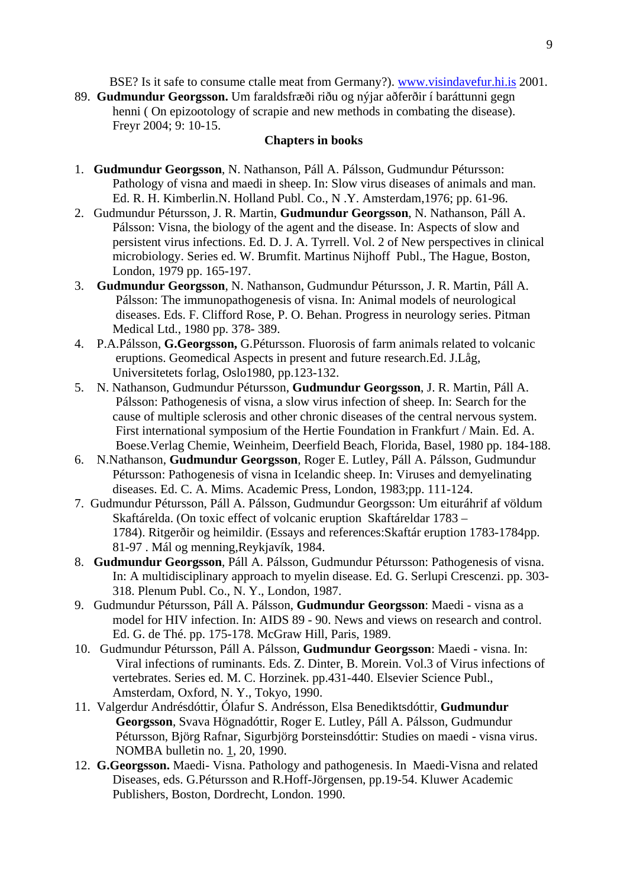BSE? Is it safe to consume ctalle meat from Germany?). www.visindavefur.hi.is 2001.

89. **Gudmundur Georgsson.** Um faraldsfræði riðu og nýjar aðferðir í baráttunni gegn henni ( On epizootology of scrapie and new methods in combating the disease). Freyr 2004; 9: 10-15.

#### **Chapters in books**

- 1. **Gudmundur Georgsson**, N. Nathanson, Páll A. Pálsson, Gudmundur Pétursson: Pathology of visna and maedi in sheep. In: Slow virus diseases of animals and man. Ed. R. H. Kimberlin.N. Holland Publ. Co., N .Y. Amsterdam,1976; pp. 61-96.
- 2. Gudmundur Pétursson, J. R. Martin, **Gudmundur Georgsson**, N. Nathanson, Páll A. Pálsson: Visna, the biology of the agent and the disease. In: Aspects of slow and persistent virus infections. Ed. D. J. A. Tyrrell. Vol. 2 of New perspectives in clinical microbiology. Series ed. W. Brumfit. Martinus Nijhoff Publ., The Hague, Boston, London, 1979 pp. 165-197.
- 3. **Gudmundur Georgsson**, N. Nathanson, Gudmundur Pétursson, J. R. Martin, Páll A. Pálsson: The immunopathogenesis of visna. In: Animal models of neurological diseases. Eds. F. Clifford Rose, P. O. Behan. Progress in neurology series. Pitman Medical Ltd., 1980 pp. 378- 389.
- 4. P.A.Pálsson, **G.Georgsson,** G.Pétursson. Fluorosis of farm animals related to volcanic eruptions. Geomedical Aspects in present and future research.Ed. J.Låg, Universitetets forlag, Oslo1980, pp.123-132.
- 5. N. Nathanson, Gudmundur Pétursson, **Gudmundur Georgsson**, J. R. Martin, Páll A. Pálsson: Pathogenesis of visna, a slow virus infection of sheep. In: Search for the cause of multiple sclerosis and other chronic diseases of the central nervous system. First international symposium of the Hertie Foundation in Frankfurt / Main. Ed. A. Boese.Verlag Chemie, Weinheim, Deerfield Beach, Florida, Basel, 1980 pp. 184-188.
- 6. N.Nathanson, **Gudmundur Georgsson**, Roger E. Lutley, Páll A. Pálsson, GudmundurPétursson: Pathogenesis of visna in Icelandic sheep. In: Viruses and demyelinating diseases. Ed. C. A. Mims. Academic Press, London, 1983;pp. 111-124.
- 7. Gudmundur Pétursson, Páll A. Pálsson, Gudmundur Georgsson: Um eituráhrif af völdum Skaftárelda. (On toxic effect of volcanic eruption Skaftáreldar 1783 – 1784). Ritgerðir og heimildir. (Essays and references:Skaftár eruption 1783-1784pp. 81-97 . Mál og menning,Reykjavík, 1984.
- 8. **Gudmundur Georgsson**, Páll A. Pálsson, Gudmundur Pétursson: Pathogenesis of visna. In: A multidisciplinary approach to myelin disease. Ed. G. Serlupi Crescenzi. pp. 303- 318. Plenum Publ. Co., N. Y., London, 1987.
- 9. Gudmundur Pétursson, Páll A. Pálsson, **Gudmundur Georgsson**: Maedi visna as a model for HIV infection. In: AIDS 89 - 90. News and views on research and control. Ed. G. de Thé. pp. 175-178. McGraw Hill, Paris, 1989.
- 10. Gudmundur Pétursson, Páll A. Pálsson, **Gudmundur Georgsson**: Maedi visna. In: Viral infections of ruminants. Eds. Z. Dinter, B. Morein. Vol.3 of Virus infections of vertebrates. Series ed. M. C. Horzinek. pp.431-440. Elsevier Science Publ., Amsterdam, Oxford, N. Y., Tokyo, 1990.
- 11. Valgerdur Andrésdóttir, Ólafur S. Andrésson, Elsa Benediktsdóttir, **Gudmundur Georgsson**, Svava Högnadóttir, Roger E. Lutley, Páll A. Pálsson, Gudmundur Pétursson, Björg Rafnar, Sigurbjörg Þorsteinsdóttir: Studies on maedi - visna virus. NOMBA bulletin no. 1, 20, 1990.
- 12. **G.Georgsson.** Maedi- Visna. Pathology and pathogenesis. In Maedi-Visna and related Diseases, eds. G.Pétursson and R.Hoff-Jörgensen, pp.19-54. Kluwer Academic Publishers, Boston, Dordrecht, London. 1990.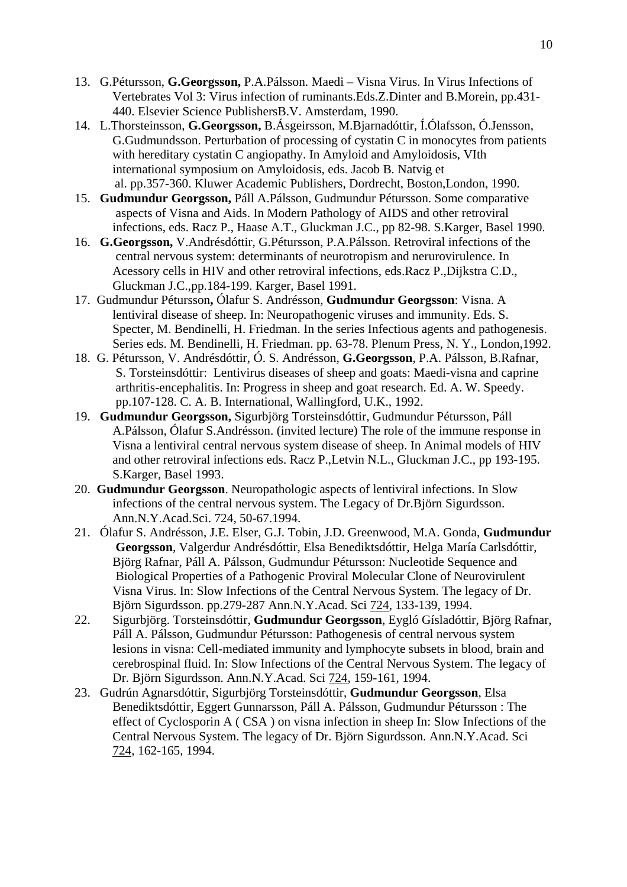- 13. G.Pétursson, **G.Georgsson,** P.A.Pálsson. Maedi Visna Virus. In Virus Infections of Vertebrates Vol 3: Virus infection of ruminants.Eds.Z.Dinter and B.Morein, pp.431- 440. Elsevier Science PublishersB.V. Amsterdam, 1990.
- 14. L.Thorsteinsson, **G.Georgsson,** B.Ásgeirsson, M.Bjarnadóttir, Í.Ólafsson, Ó.Jensson, G.Gudmundsson. Perturbation of processing of cystatin C in monocytes from patients with hereditary cystatin C angiopathy. In Amyloid and Amyloidosis, VIth international symposium on Amyloidosis, eds. Jacob B. Natvig et al. pp.357-360. Kluwer Academic Publishers, Dordrecht, Boston,London, 1990.
- 15. **Gudmundur Georgsson,** Páll A.Pálsson, Gudmundur Pétursson. Some comparative aspects of Visna and Aids. In Modern Pathology of AIDS and other retroviral infections, eds. Racz P., Haase A.T., Gluckman J.C., pp 82-98. S.Karger, Basel 1990.
- 16. **G.Georgsson,** V.Andrésdóttir, G.Pétursson, P.A.Pálsson. Retroviral infections of the central nervous system: determinants of neurotropism and nerurovirulence. In Acessory cells in HIV and other retroviral infections, eds.Racz P.,Dijkstra C.D., Gluckman J.C.,pp.184-199. Karger, Basel 1991.
- 17. Gudmundur Pétursson**,** Ólafur S. Andrésson, **Gudmundur Georgsson**: Visna. A lentiviral disease of sheep. In: Neuropathogenic viruses and immunity. Eds. S. Specter, M. Bendinelli, H. Friedman. In the series Infectious agents and pathogenesis. Series eds. M. Bendinelli, H. Friedman. pp. 63-78. Plenum Press, N. Y., London,1992.
- 18. G. Pétursson, V. Andrésdóttir, Ó. S. Andrésson, **G.Georgsson**, P.A. Pálsson, B.Rafnar, S. Torsteinsdóttir: Lentivirus diseases of sheep and goats: Maedi-visna and caprine arthritis-encephalitis. In: Progress in sheep and goat research. Ed. A. W. Speedy. pp.107-128. C. A. B. International, Wallingford, U.K., 1992.
- 19. **Gudmundur Georgsson,** Sigurbjörg Torsteinsdóttir, Gudmundur Pétursson, Páll A.Pálsson, Ólafur S.Andrésson. (invited lecture) The role of the immune response in Visna a lentiviral central nervous system disease of sheep. In Animal models of HIV and other retroviral infections eds. Racz P.,Letvin N.L., Gluckman J.C., pp 193-195. S.Karger, Basel 1993.
- 20. **Gudmundur Georgsson**. Neuropathologic aspects of lentiviral infections. In Slow infections of the central nervous system. The Legacy of Dr.Björn Sigurdsson. Ann.N.Y.Acad.Sci. 724, 50-67.1994.
- 21. Ólafur S. Andrésson, J.E. Elser, G.J. Tobin, J.D. Greenwood, M.A. Gonda, **Gudmundur Georgsson**, Valgerdur Andrésdóttir, Elsa Benediktsdóttir, Helga María Carlsdóttir, Björg Rafnar, Páll A. Pálsson, Gudmundur Pétursson: Nucleotide Sequence and Biological Properties of a Pathogenic Proviral Molecular Clone of Neurovirulent Visna Virus. In: Slow Infections of the Central Nervous System. The legacy of Dr. Björn Sigurdsson. pp.279-287 Ann.N.Y.Acad. Sci 724, 133-139, 1994.
- 22. Sigurbjörg. Torsteinsdóttir, **Gudmundur Georgsson**, Eygló Gísladóttir, Björg Rafnar, Páll A. Pálsson, Gudmundur Pétursson: Pathogenesis of central nervous system lesions in visna: Cell-mediated immunity and lymphocyte subsets in blood, brain and cerebrospinal fluid. In: Slow Infections of the Central Nervous System. The legacy of Dr. Björn Sigurdsson. Ann.N.Y.Acad. Sci 724, 159-161, 1994.
- 23. Gudrún Agnarsdóttir, Sigurbjörg Torsteinsdóttir, **Gudmundur Georgsson**, Elsa Benediktsdóttir, Eggert Gunnarsson, Páll A. Pálsson, Gudmundur Pétursson : The effect of Cyclosporin A ( CSA ) on visna infection in sheep In: Slow Infections of the Central Nervous System. The legacy of Dr. Björn Sigurdsson. Ann.N.Y.Acad. Sci 724, 162-165, 1994.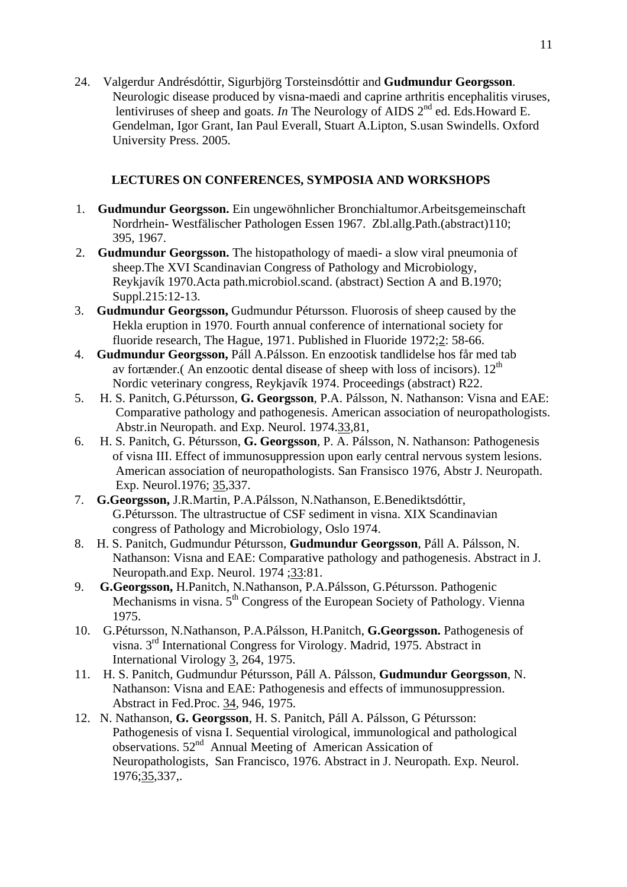24. Valgerdur Andrésdóttir, Sigurbjörg Torsteinsdóttir and **Gudmundur Georgsson**. Neurologic disease produced by visna-maedi and caprine arthritis encephalitis viruses, lentiviruses of sheep and goats. *In* The Neurology of AIDS 2<sup>nd</sup> ed. Eds. Howard E. Gendelman, Igor Grant, Ian Paul Everall, Stuart A.Lipton, S.usan Swindells. Oxford University Press. 2005.

# **LECTURES ON CONFERENCES, SYMPOSIA AND WORKSHOPS**

- 1. **Gudmundur Georgsson.** Ein ungewöhnlicher Bronchialtumor.Arbeitsgemeinschaft Nordrhein**-** Westfälischer Pathologen Essen 1967. Zbl.allg.Path.(abstract)110; 395, 1967.
- 2. **Gudmundur Georgsson.** The histopathology of maedi- a slow viral pneumonia of sheep.The XVI Scandinavian Congress of Pathology and Microbiology, Reykjavík 1970.Acta path.microbiol.scand. (abstract) Section A and B.1970; Suppl.215:12-13.
- 3. **Gudmundur Georgsson,** Gudmundur Pétursson. Fluorosis of sheep caused by the Hekla eruption in 1970. Fourth annual conference of international society for fluoride research, The Hague, 1971. Published in Fluoride 1972;2: 58-66.
- 4. **Gudmundur Georgsson,** Páll A.Pálsson. En enzootisk tandlidelse hos får med tab av fortænder.(An enzootic dental disease of sheep with loss of incisors).  $12<sup>th</sup>$ Nordic veterinary congress, Reykjavík 1974. Proceedings (abstract) R22.
- 5. H. S. Panitch, G.Pétursson, **G. Georgsson**, P.A. Pálsson, N. Nathanson: Visna and EAE: Comparative pathology and pathogenesis. American association of neuropathologists. Abstr.in Neuropath. and Exp. Neurol. 1974.33,81,
- 6. H. S. Panitch, G. Pétursson, **G. Georgsson**, P. A. Pálsson, N. Nathanson: Pathogenesis of visna III. Effect of immunosuppression upon early central nervous system lesions. American association of neuropathologists. San Fransisco 1976, Abstr J. Neuropath. Exp. Neurol.1976; 35,337.
- 7. **G.Georgsson,** J.R.Martin, P.A.Pálsson, N.Nathanson, E.Benediktsdóttir, G.Pétursson. The ultrastructue of CSF sediment in visna. XIX Scandinavian congress of Pathology and Microbiology, Oslo 1974.
- 8. H. S. Panitch, Gudmundur Pétursson, **Gudmundur Georgsson**, Páll A. Pálsson, N. Nathanson: Visna and EAE: Comparative pathology and pathogenesis. Abstract in J. Neuropath.and Exp. Neurol. 1974 ;33:81.
- 9. **G.Georgsson,** H.Panitch, N.Nathanson, P.A.Pálsson, G.Pétursson. Pathogenic Mechanisms in visna. 5<sup>th</sup> Congress of the European Society of Pathology. Vienna 1975.
- 10. G.Pétursson, N.Nathanson, P.A.Pálsson, H.Panitch, **G.Georgsson.** Pathogenesis of visna. 3rd International Congress for Virology. Madrid, 1975. Abstract in International Virology 3, 264, 1975.
- 11. H. S. Panitch, Gudmundur Pétursson, Páll A. Pálsson, **Gudmundur Georgsson**, N. Nathanson: Visna and EAE: Pathogenesis and effects of immunosuppression. Abstract in Fed.Proc. 34, 946, 1975.
- 12. N. Nathanson, **G. Georgsson**, H. S. Panitch, Páll A. Pálsson, G Pétursson: Pathogenesis of visna I. Sequential virological, immunological and pathological observations. 52<sup>nd</sup> Annual Meeting of American Assication of Neuropathologists, San Francisco, 1976. Abstract in J. Neuropath. Exp. Neurol. 1976;35,337,.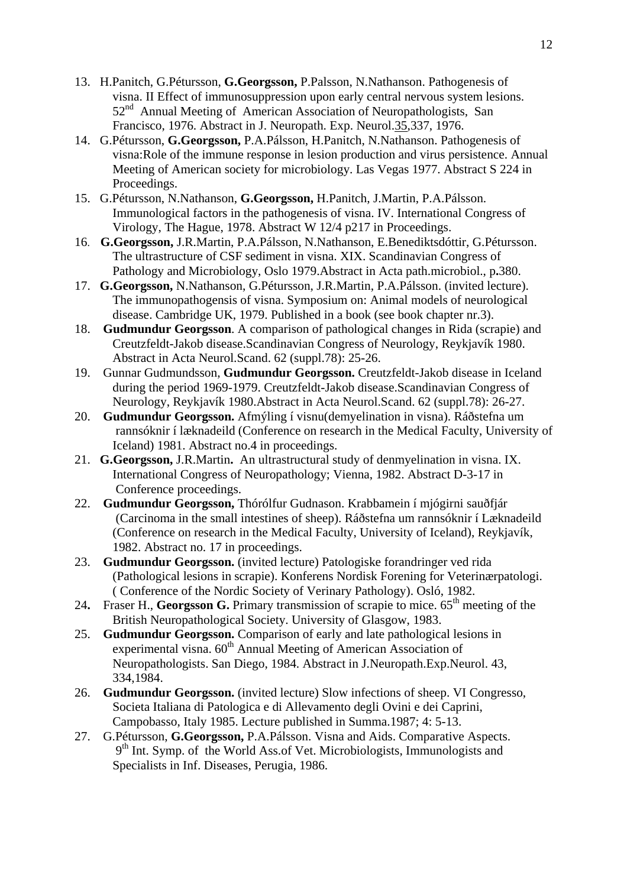- 13. H.Panitch, G.Pétursson, **G.Georgsson,** P.Palsson, N.Nathanson. Pathogenesis of visna. II Effect of immunosuppression upon early central nervous system lesions. 52<sup>nd</sup> Annual Meeting of American Association of Neuropathologists, San Francisco, 1976. Abstract in J. Neuropath. Exp. Neurol.35,337, 1976.
- 14. G.Pétursson, **G.Georgsson,** P.A.Pálsson, H.Panitch, N.Nathanson. Pathogenesis of visna:Role of the immune response in lesion production and virus persistence. Annual Meeting of American society for microbiology. Las Vegas 1977. Abstract S 224 in Proceedings.
- 15. G.Pétursson, N.Nathanson, **G.Georgsson,** H.Panitch, J.Martin, P.A.Pálsson. Immunological factors in the pathogenesis of visna. IV. International Congress of Virology, The Hague, 1978. Abstract W 12/4 p217 in Proceedings.
- 16. **G.Georgsson,** J.R.Martin, P.A.Pálsson, N.Nathanson, E.Benediktsdóttir, G.Pétursson. The ultrastructure of CSF sediment in visna. XIX. Scandinavian Congress of Pathology and Microbiology, Oslo 1979.Abstract in Acta path.microbiol., p**.**380.
- 17. **G.Georgsson,** N.Nathanson, G.Pétursson, J.R.Martin, P.A.Pálsson. (invited lecture). The immunopathogensis of visna. Symposium on: Animal models of neurological disease. Cambridge UK, 1979. Published in a book (see book chapter nr.3).
- 18. **Gudmundur Georgsson**. A comparison of pathological changes in Rida (scrapie) and Creutzfeldt-Jakob disease.Scandinavian Congress of Neurology, Reykjavík 1980. Abstract in Acta Neurol.Scand. 62 (suppl.78): 25-26.
- 19. Gunnar Gudmundsson, **Gudmundur Georgsson.** Creutzfeldt-Jakob disease in Iceland during the period 1969-1979. Creutzfeldt-Jakob disease.Scandinavian Congress of Neurology, Reykjavík 1980.Abstract in Acta Neurol.Scand. 62 (suppl.78): 26-27.
- 20. **Gudmundur Georgsson.** Afmýling í visnu(demyelination in visna). Ráðstefna um rannsóknir í læknadeild (Conference on research in the Medical Faculty, University of Iceland) 1981. Abstract no.4 in proceedings.
- 21. **G.Georgsson,** J.R.Martin**.** An ultrastructural study of denmyelination in visna. IX. International Congress of Neuropathology; Vienna, 1982. Abstract D-3-17 in Conference proceedings.
- 22. **Gudmundur Georgsson,** Thórólfur Gudnason. Krabbamein í mjógirni sauðfjár (Carcinoma in the small intestines of sheep). Ráðstefna um rannsóknir í Læknadeild (Conference on research in the Medical Faculty, University of Iceland), Reykjavík, 1982. Abstract no. 17 in proceedings.
- 23. **Gudmundur Georgsson.** (invited lecture) Patologiske forandringer ved rida (Pathological lesions in scrapie). Konferens Nordisk Forening for Veterinærpatologi. ( Conference of the Nordic Society of Verinary Pathology). Osló, 1982.
- 24. Fraser H., **Georgsson G.** Primary transmission of scrapie to mice. 65<sup>th</sup> meeting of the British Neuropathological Society. University of Glasgow, 1983.
- 25. **Gudmundur Georgsson.** Comparison of early and late pathological lesions in experimental visna.  $60^{th}$  Annual Meeting of American Association of Neuropathologists. San Diego, 1984. Abstract in J.Neuropath.Exp.Neurol. 43, 334,1984.
- 26. **Gudmundur Georgsson.** (invited lecture) Slow infections of sheep. VI Congresso, Societa Italiana di Patologica e di Allevamento degli Ovini e dei Caprini, Campobasso, Italy 1985. Lecture published in Summa.1987; 4: 5-13.
- 27. G.Pétursson, **G.Georgsson,** P.A.Pálsson. Visna and Aids. Comparative Aspects.  $9<sup>th</sup>$  Int. Symp. of the World Ass.of Vet. Microbiologists, Immunologists and Specialists in Inf. Diseases, Perugia, 1986.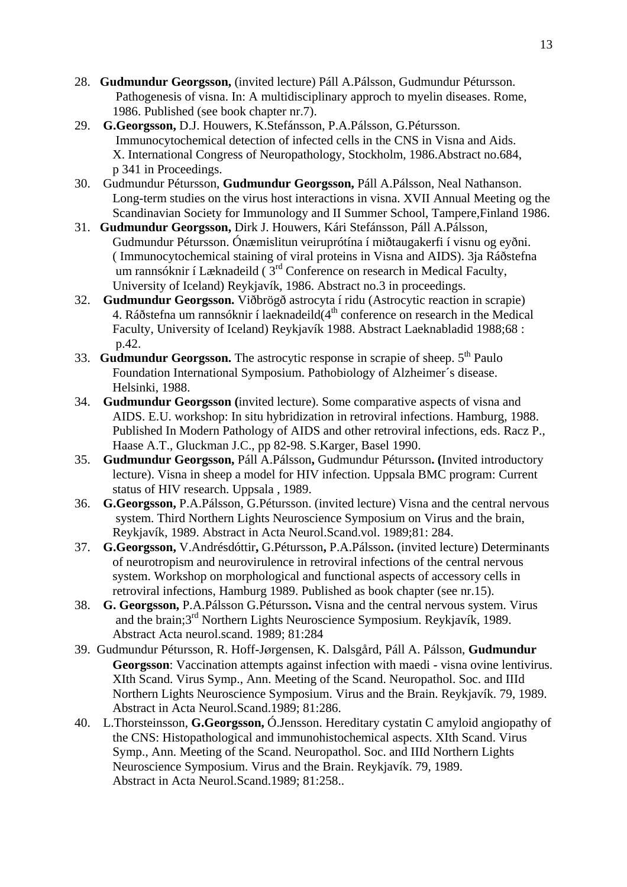- 28. **Gudmundur Georgsson,** (invited lecture) Páll A.Pálsson, Gudmundur Pétursson. Pathogenesis of visna. In: A multidisciplinary approch to myelin diseases. Rome, 1986. Published (see book chapter nr.7).
- 29. **G.Georgsson,** D.J. Houwers, K.Stefánsson, P.A.Pálsson, G.Pétursson. Immunocytochemical detection of infected cells in the CNS in Visna and Aids. X. International Congress of Neuropathology, Stockholm, 1986.Abstract no.684, p 341 in Proceedings.
- 30. Gudmundur Pétursson, **Gudmundur Georgsson,** Páll A.Pálsson, Neal Nathanson. Long-term studies on the virus host interactions in visna. XVII Annual Meeting og the Scandinavian Society for Immunology and II Summer School, Tampere,Finland 1986.
- 31. **Gudmundur Georgsson,** Dirk J. Houwers, Kári Stefánsson, Páll A.Pálsson, Gudmundur Pétursson. Ónæmislitun veiruprótína í miðtaugakerfi í visnu og eyðni. ( Immunocytochemical staining of viral proteins in Visna and AIDS). 3ja Ráðstefna um rannsóknir í Læknadeild (3<sup>rd</sup> Conference on research in Medical Faculty, University of Iceland) Reykjavík, 1986. Abstract no.3 in proceedings.
- 32. **Gudmundur Georgsson.** Viðbrögð astrocyta í ridu (Astrocytic reaction in scrapie) 4. Ráðstefna um rannsóknir í laeknadeild(4<sup>th</sup> conference on research in the Medical Faculty, University of Iceland) Reykjavík 1988. Abstract Laeknabladid 1988;68 : p.42.
- 33. **Gudmundur Georgsson.** The astrocytic response in scrapie of sheep. 5th Paulo Foundation International Symposium. Pathobiology of Alzheimer´s disease. Helsinki, 1988.
- 34. **Gudmundur Georgsson (**invited lecture). Some comparative aspects of visna and AIDS. E.U. workshop: In situ hybridization in retroviral infections. Hamburg, 1988. Published In Modern Pathology of AIDS and other retroviral infections, eds. Racz P., Haase A.T., Gluckman J.C., pp 82-98. S.Karger, Basel 1990.
- 35. **Gudmundur Georgsson,** Páll A.Pálsson**,** Gudmundur Pétursson**. (**Invited introductory lecture). Visna in sheep a model for HIV infection. Uppsala BMC program: Current status of HIV research. Uppsala , 1989.
- 36. **G.Georgsson,** P.A.Pálsson, G.Pétursson. (invited lecture) Visna and the central nervous system. Third Northern Lights Neuroscience Symposium on Virus and the brain, Reykjavík, 1989. Abstract in Acta Neurol.Scand.vol. 1989;81: 284.
- 37. **G.Georgsson,** V.Andrésdóttir**,** G.Pétursson**,** P.A.Pálsson**.** (invited lecture) Determinants of neurotropism and neurovirulence in retroviral infections of the central nervous system. Workshop on morphological and functional aspects of accessory cells in retroviral infections, Hamburg 1989. Published as book chapter (see nr.15).
- 38. **G. Georgsson,** P.A.Pálsson G.Pétursson**.** Visna and the central nervous system. Virus and the brain;3rd Northern Lights Neuroscience Symposium. Reykjavík, 1989. Abstract Acta neurol.scand. 1989; 81:284
- 39. Gudmundur Pétursson, R. Hoff-Jørgensen, K. Dalsgård, Páll A. Pálsson, **Gudmundur Georgsson**: Vaccination attempts against infection with maedi - visna ovine lentivirus. XIth Scand. Virus Symp., Ann. Meeting of the Scand. Neuropathol. Soc. and IIId Northern Lights Neuroscience Symposium. Virus and the Brain. Reykjavík. 79, 1989. Abstract in Acta Neurol.Scand.1989; 81:286.
- 40. L.Thorsteinsson, **G.Georgsson,** Ó.Jensson. Hereditary cystatin C amyloid angiopathy of the CNS: Histopathological and immunohistochemical aspects. XIth Scand. Virus Symp., Ann. Meeting of the Scand. Neuropathol. Soc. and IIId Northern Lights Neuroscience Symposium. Virus and the Brain. Reykjavík. 79, 1989. Abstract in Acta Neurol.Scand.1989; 81:258..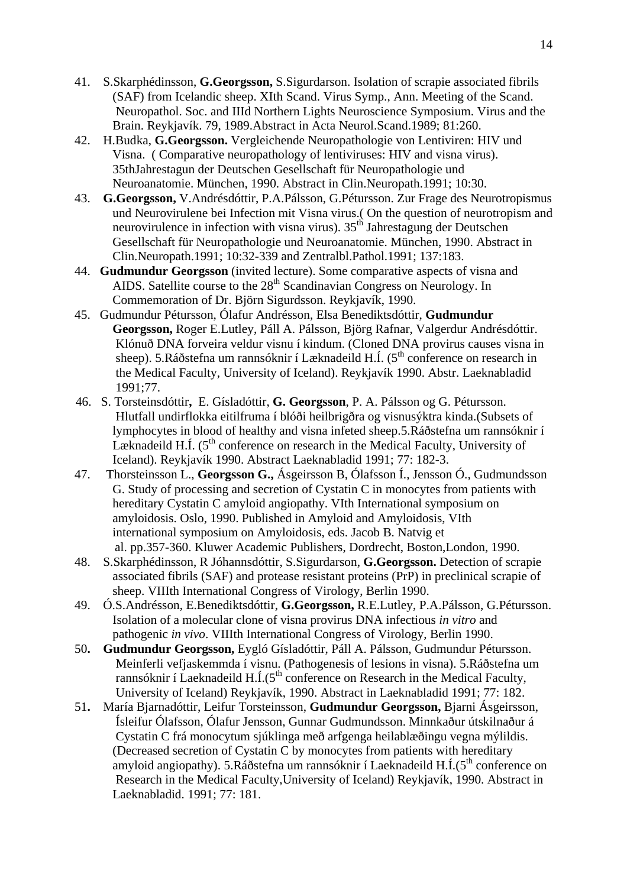- 41. S.Skarphédinsson, **G.Georgsson,** S.Sigurdarson. Isolation of scrapie associated fibrils (SAF) from Icelandic sheep. XIth Scand. Virus Symp., Ann. Meeting of the Scand. Neuropathol. Soc. and IIId Northern Lights Neuroscience Symposium. Virus and the Brain. Reykjavík. 79, 1989.Abstract in Acta Neurol.Scand.1989; 81:260.
- 42. H.Budka, **G.Georgsson.** Vergleichende Neuropathologie von Lentiviren: HIV und Visna. ( Comparative neuropathology of lentiviruses: HIV and visna virus). 35thJahrestagun der Deutschen Gesellschaft für Neuropathologie und Neuroanatomie. München, 1990. Abstract in Clin.Neuropath.1991; 10:30.
- 43. **G.Georgsson,** V.Andrésdóttir, P.A.Pálsson, G.Pétursson. Zur Frage des Neurotropismus und Neurovirulene bei Infection mit Visna virus.( On the question of neurotropism and neurovirulence in infection with visna virus).  $35<sup>th</sup>$  Jahrestagung der Deutschen Gesellschaft für Neuropathologie und Neuroanatomie. München, 1990. Abstract in Clin.Neuropath.1991; 10:32-339 and Zentralbl.Pathol.1991; 137:183.
- 44. **Gudmundur Georgsson** (invited lecture). Some comparative aspects of visna and AIDS. Satellite course to the  $28<sup>th</sup>$  Scandinavian Congress on Neurology. In Commemoration of Dr. Björn Sigurdsson. Reykjavík, 1990.
- 45. Gudmundur Pétursson, Ólafur Andrésson, Elsa Benediktsdóttir, **Gudmundur Georgsson,** Roger E.Lutley, Páll A. Pálsson, Björg Rafnar, Valgerdur Andrésdóttir. Klónuð DNA forveira veldur visnu í kindum. (Cloned DNA provirus causes visna in sheep). 5.Ráðstefna um rannsóknir í Læknadeild H.Í. ( $5<sup>th</sup>$  conference on research in the Medical Faculty, University of Iceland). Reykjavík 1990. Abstr. Laeknabladid 1991;77.
- 46. S. Torsteinsdóttir**,** E. Gísladóttir, **G. Georgsson**, P. A. Pálsson og G. Pétursson. Hlutfall undirflokka eitilfruma í blóði heilbrigðra og visnusýktra kinda.(Subsets of lymphocytes in blood of healthy and visna infeted sheep.5.Ráðstefna um rannsóknir í Læknadeild H.Í.  $(5<sup>th</sup>$  conference on research in the Medical Faculty, University of Iceland). Reykjavík 1990. Abstract Laeknabladid 1991; 77: 182-3.
- 47. Thorsteinsson L., **Georgsson G.,** Ásgeirsson B, Ólafsson Í., Jensson Ó., Gudmundsson G. Study of processing and secretion of Cystatin C in monocytes from patients with hereditary Cystatin C amyloid angiopathy. VIth International symposium on amyloidosis. Oslo, 1990. Published in Amyloid and Amyloidosis, VIth international symposium on Amyloidosis, eds. Jacob B. Natvig et al. pp.357-360. Kluwer Academic Publishers, Dordrecht, Boston,London, 1990.
- 48. S.Skarphédinsson, R Jóhannsdóttir, S.Sigurdarson, **G.Georgsson.** Detection of scrapie associated fibrils (SAF) and protease resistant proteins (PrP) in preclinical scrapie of sheep. VIIIth International Congress of Virology, Berlin 1990.
- 49. Ó.S.Andrésson, E.Benediktsdóttir, **G.Georgsson,** R.E.Lutley, P.A.Pálsson, G.Pétursson. Isolation of a molecular clone of visna provirus DNA infectious *in vitro* and pathogenic *in vivo*. VIIIth International Congress of Virology, Berlin 1990.
- 50**. Gudmundur Georgsson,** Eygló Gísladóttir, Páll A. Pálsson, Gudmundur Pétursson. Meinferli vefjaskemmda í visnu. (Pathogenesis of lesions in visna). 5.Ráðstefna um rannsóknir í Laeknadeild H.Í.(5<sup>th</sup> conference on Research in the Medical Faculty, University of Iceland) Reykjavík, 1990. Abstract in Laeknabladid 1991; 77: 182.
- 51**.** María Bjarnadóttir, Leifur Torsteinsson, **Gudmundur Georgsson,** Bjarni Ásgeirsson, Ísleifur Ólafsson, Ólafur Jensson, Gunnar Gudmundsson. Minnkaður útskilnaður á Cystatin C frá monocytum sjúklinga með arfgenga heilablæðingu vegna mýlildis. (Decreased secretion of Cystatin C by monocytes from patients with hereditary amyloid angiopathy). 5.Ráðstefna um rannsóknir í Laeknadeild H.Í.(5<sup>th</sup> conference on Research in the Medical Faculty,University of Iceland) Reykjavík, 1990. Abstract in Laeknabladid. 1991; 77: 181.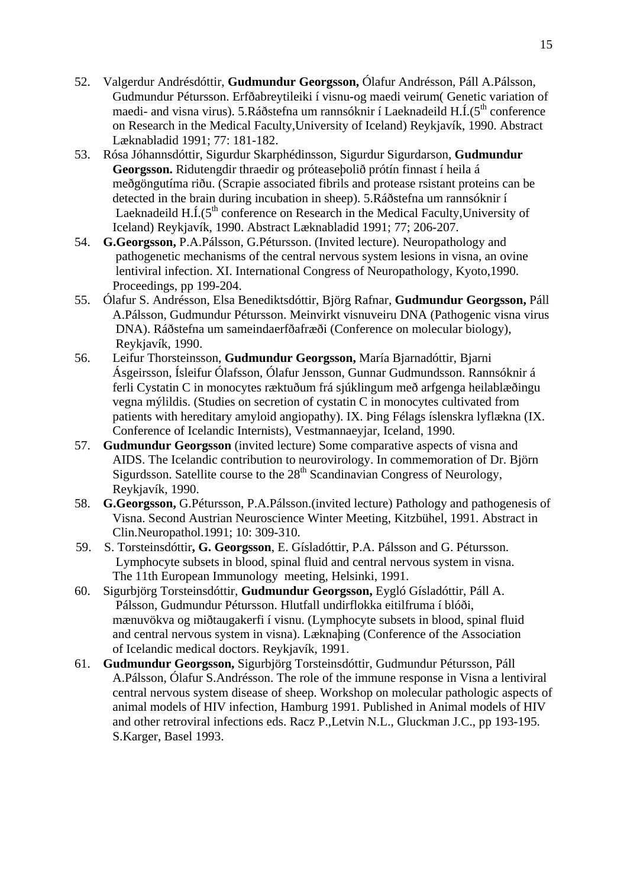- 52. Valgerdur Andrésdóttir, **Gudmundur Georgsson,** Ólafur Andrésson, Páll A.Pálsson, Gudmundur Pétursson. Erfðabreytileiki í visnu-og maedi veirum( Genetic variation of maedi- and visna virus). 5.Ráðstefna um rannsóknir í Laeknadeild  $H.\dot{I}.(5<sup>th</sup>$  conference on Research in the Medical Faculty,University of Iceland) Reykjavík, 1990. Abstract Læknabladid 1991; 77: 181-182.
- 53. Rósa Jóhannsdóttir, Sigurdur Skarphédinsson, Sigurdur Sigurdarson, **Gudmundur Georgsson.** Ridutengdir thraedir og próteaseþolið prótín finnast í heila á meðgöngutíma riðu. (Scrapie associated fibrils and protease rsistant proteins can be detected in the brain during incubation in sheep). 5.Ráðstefna um rannsóknir í Laeknadeild  $H.\dot{I}.(5<sup>th</sup>$  conference on Research in the Medical Faculty, University of Iceland) Reykjavík, 1990. Abstract Læknabladid 1991; 77; 206-207.
- 54. **G.Georgsson,** P.A.Pálsson, G.Pétursson. (Invited lecture). Neuropathology and pathogenetic mechanisms of the central nervous system lesions in visna, an ovine lentiviral infection. XI. International Congress of Neuropathology, Kyoto,1990. Proceedings, pp 199-204.
- 55. Ólafur S. Andrésson, Elsa Benediktsdóttir, Björg Rafnar, **Gudmundur Georgsson,** Páll A.Pálsson, Gudmundur Pétursson. Meinvirkt visnuveiru DNA (Pathogenic visna virus DNA). Ráðstefna um sameindaerfðafræði (Conference on molecular biology), Reykjavík, 1990.
- 56. Leifur Thorsteinsson, **Gudmundur Georgsson,** María Bjarnadóttir, Bjarni Ásgeirsson, Ísleifur Ólafsson, Ólafur Jensson, Gunnar Gudmundsson. Rannsóknir á ferli Cystatin C in monocytes ræktuðum frá sjúklingum með arfgenga heilablæðingu vegna mýlildis. (Studies on secretion of cystatin C in monocytes cultivated from patients with hereditary amyloid angiopathy). IX. Þing Félags íslenskra lyflækna (IX. Conference of Icelandic Internists), Vestmannaeyjar, Iceland, 1990.
- 57. **Gudmundur Georgsson** (invited lecture) Some comparative aspects of visna and AIDS. The Icelandic contribution to neurovirology. In commemoration of Dr. Björn Sigurdsson. Satellite course to the  $28<sup>th</sup>$  Scandinavian Congress of Neurology, Reykjavík, 1990.
- 58. **G.Georgsson,** G.Pétursson, P.A.Pálsson.(invited lecture) Pathology and pathogenesis of Visna. Second Austrian Neuroscience Winter Meeting, Kitzbühel, 1991. Abstract in Clin.Neuropathol.1991; 10: 309-310.
- 59.S. Torsteinsdóttir**, G. Georgsson**, E. Gísladóttir, P.A. Pálsson and G. Pétursson. Lymphocyte subsets in blood, spinal fluid and central nervous system in visna. The 11th European Immunology meeting, Helsinki, 1991.
- 60. Sigurbjörg Torsteinsdóttir, **Gudmundur Georgsson,** Eygló Gísladóttir, Páll A. Pálsson, Gudmundur Pétursson. Hlutfall undirflokka eitilfruma í blóði, mænuvökva og miðtaugakerfi í visnu. (Lymphocyte subsets in blood, spinal fluid and central nervous system in visna). Læknaþing (Conference of the Association of Icelandic medical doctors. Reykjavík, 1991.
- 61. **Gudmundur Georgsson,** Sigurbjörg Torsteinsdóttir, Gudmundur Pétursson, Páll A.Pálsson, Ólafur S.Andrésson. The role of the immune response in Visna a lentiviral central nervous system disease of sheep. Workshop on molecular pathologic aspects of animal models of HIV infection, Hamburg 1991. Published in Animal models of HIV and other retroviral infections eds. Racz P.,Letvin N.L., Gluckman J.C., pp 193-195. S.Karger, Basel 1993.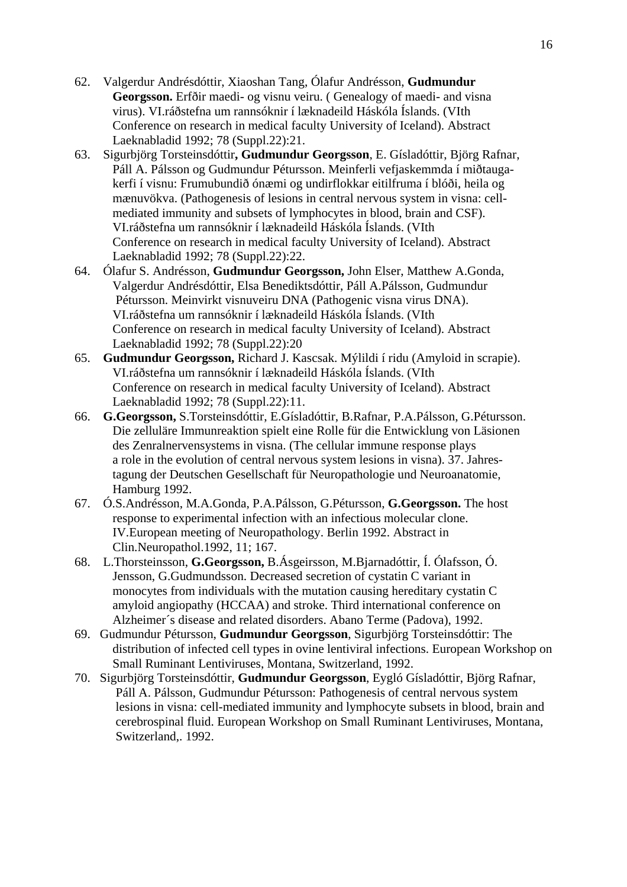- 62. Valgerdur Andrésdóttir, Xiaoshan Tang, Ólafur Andrésson, **Gudmundur Georgsson.** Erfðir maedi- og visnu veiru. ( Genealogy of maedi- and visna virus). VI.ráðstefna um rannsóknir í læknadeild Háskóla Íslands. (VIth Conference on research in medical faculty University of Iceland). Abstract Laeknabladid 1992; 78 (Suppl.22):21.
- 63. Sigurbjörg Torsteinsdóttir**, Gudmundur Georgsson**, E. Gísladóttir, Björg Rafnar, Páll A. Pálsson og Gudmundur Pétursson. Meinferli vefjaskemmda í miðtaugakerfi í visnu: Frumubundið ónæmi og undirflokkar eitilfruma í blóði, heila og mænuvökva. (Pathogenesis of lesions in central nervous system in visna: cellmediated immunity and subsets of lymphocytes in blood, brain and CSF). VI.ráðstefna um rannsóknir í læknadeild Háskóla Íslands. (VIth Conference on research in medical faculty University of Iceland). Abstract Laeknabladid 1992; 78 (Suppl.22):22.
- 64. Ólafur S. Andrésson, **Gudmundur Georgsson,** John Elser, Matthew A.Gonda, Valgerdur Andrésdóttir, Elsa Benediktsdóttir, Páll A.Pálsson, Gudmundur Pétursson. Meinvirkt visnuveiru DNA (Pathogenic visna virus DNA). VI.ráðstefna um rannsóknir í læknadeild Háskóla Íslands. (VIth Conference on research in medical faculty University of Iceland). Abstract Laeknabladid 1992; 78 (Suppl.22):20
- 65. **Gudmundur Georgsson,** Richard J. Kascsak. Mýlildi í ridu (Amyloid in scrapie). VI.ráðstefna um rannsóknir í læknadeild Háskóla Íslands. (VIth Conference on research in medical faculty University of Iceland). Abstract Laeknabladid 1992; 78 (Suppl.22):11.
- 66. **G.Georgsson,** S.Torsteinsdóttir, E.Gísladóttir, B.Rafnar, P.A.Pálsson, G.Pétursson. Die zelluläre Immunreaktion spielt eine Rolle für die Entwicklung von Läsionen des Zenralnervensystems in visna. (The cellular immune response plays a role in the evolution of central nervous system lesions in visna). 37. Jahrestagung der Deutschen Gesellschaft für Neuropathologie und Neuroanatomie, Hamburg 1992.
- 67. Ó.S.Andrésson, M.A.Gonda, P.A.Pálsson, G.Pétursson, **G.Georgsson.** The host response to experimental infection with an infectious molecular clone. IV.European meeting of Neuropathology. Berlin 1992. Abstract in Clin.Neuropathol.1992, 11; 167.
- 68. L.Thorsteinsson, **G.Georgsson,** B.Ásgeirsson, M.Bjarnadóttir, Í. Ólafsson, Ó. Jensson, G.Gudmundsson. Decreased secretion of cystatin C variant in monocytes from individuals with the mutation causing hereditary cystatin C amyloid angiopathy (HCCAA) and stroke. Third international conference on Alzheimer´s disease and related disorders. Abano Terme (Padova), 1992.
- 69. Gudmundur Pétursson, **Gudmundur Georgsson**, Sigurbjörg Torsteinsdóttir: The distribution of infected cell types in ovine lentiviral infections. European Workshop on Small Ruminant Lentiviruses, Montana, Switzerland, 1992.
- 70. Sigurbjörg Torsteinsdóttir, **Gudmundur Georgsson**, Eygló Gísladóttir, Björg Rafnar, Páll A. Pálsson, Gudmundur Pétursson: Pathogenesis of central nervous system lesions in visna: cell-mediated immunity and lymphocyte subsets in blood, brain and cerebrospinal fluid. European Workshop on Small Ruminant Lentiviruses, Montana, Switzerland,. 1992.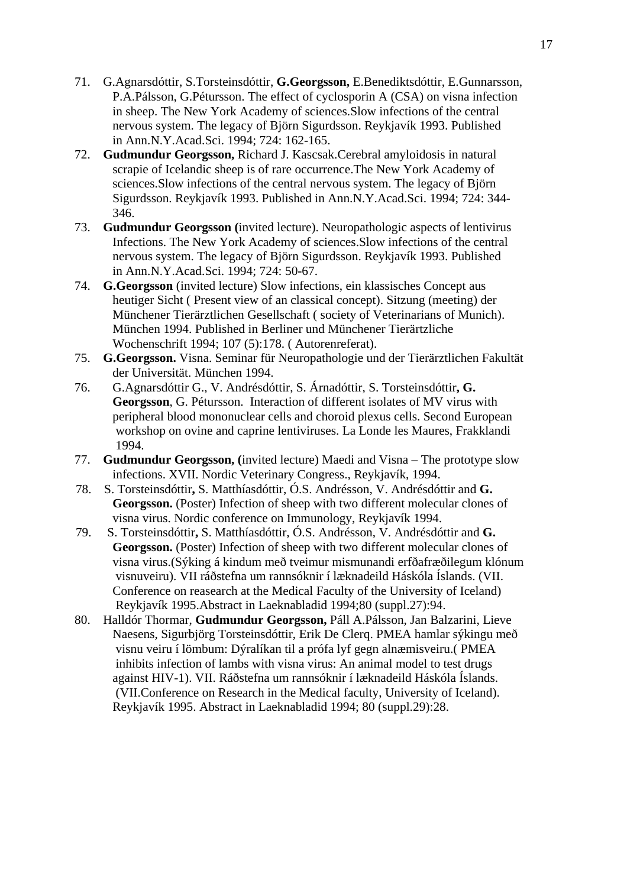- 71. G.Agnarsdóttir, S.Torsteinsdóttir, **G.Georgsson,** E.Benediktsdóttir, E.Gunnarsson, P.A.Pálsson, G.Pétursson. The effect of cyclosporin A (CSA) on visna infection in sheep. The New York Academy of sciences.Slow infections of the central nervous system. The legacy of Björn Sigurdsson. Reykjavík 1993. Published in Ann.N.Y.Acad.Sci. 1994; 724: 162-165.
- 72. **Gudmundur Georgsson,** Richard J. Kascsak.Cerebral amyloidosis in natural scrapie of Icelandic sheep is of rare occurrence.The New York Academy of sciences.Slow infections of the central nervous system. The legacy of Björn Sigurdsson. Reykjavík 1993. Published in Ann.N.Y.Acad.Sci. 1994; 724: 344- 346.
- 73. **Gudmundur Georgsson (**invited lecture). Neuropathologic aspects of lentivirus Infections. The New York Academy of sciences.Slow infections of the central nervous system. The legacy of Björn Sigurdsson. Reykjavík 1993. Published in Ann.N.Y.Acad.Sci. 1994; 724: 50-67.
- 74. **G.Georgsson** (invited lecture) Slow infections, ein klassisches Concept aus heutiger Sicht ( Present view of an classical concept). Sitzung (meeting) der Münchener Tierärztlichen Gesellschaft ( society of Veterinarians of Munich). München 1994. Published in Berliner und Münchener Tierärtzliche Wochenschrift 1994; 107 (5):178. ( Autorenreferat).
- 75. **G.Georgsson.** Visna. Seminar für Neuropathologie und der Tierärztlichen Fakultät der Universität. München 1994.
- 76. G.Agnarsdóttir G., V. Andrésdóttir, S. Árnadóttir, S. Torsteinsdóttir**, G. Georgsson**, G. Pétursson. Interaction of different isolates of MV virus with peripheral blood mononuclear cells and choroid plexus cells. Second European workshop on ovine and caprine lentiviruses. La Londe les Maures, Frakklandi 1994.
- 77. **Gudmundur Georgsson, (**invited lecture) Maedi and Visna The prototype slow infections. XVII. Nordic Veterinary Congress., Reykjavík, 1994.
- 78.S. Torsteinsdóttir**,** S. Matthíasdóttir, Ó.S. Andrésson, V. Andrésdóttir and **G. Georgsson.** (Poster) Infection of sheep with two different molecular clones of visna virus. Nordic conference on Immunology, Reykjavík 1994.
- 79. S. Torsteinsdóttir**,** S. Matthíasdóttir, Ó.S. Andrésson, V. Andrésdóttir and **G. Georgsson.** (Poster) Infection of sheep with two different molecular clones of visna virus.(Sýking á kindum með tveimur mismunandi erfðafræðilegum klónum visnuveiru). VII ráðstefna um rannsóknir í læknadeild Háskóla Íslands. (VII. Conference on reasearch at the Medical Faculty of the University of Iceland) Reykjavík 1995.Abstract in Laeknabladid 1994;80 (suppl.27):94.
- 80. Halldór Thormar, **Gudmundur Georgsson,** Páll A.Pálsson, Jan Balzarini, Lieve Naesens, Sigurbjörg Torsteinsdóttir, Erik De Clerq. PMEA hamlar sýkingu með visnu veiru í lömbum: Dýralíkan til a prófa lyf gegn alnæmisveiru.( PMEA inhibits infection of lambs with visna virus: An animal model to test drugs against HIV-1). VII. Ráðstefna um rannsóknir í læknadeild Háskóla Íslands. (VII.Conference on Research in the Medical faculty, University of Iceland). Reykjavík 1995. Abstract in Laeknabladid 1994; 80 (suppl.29):28.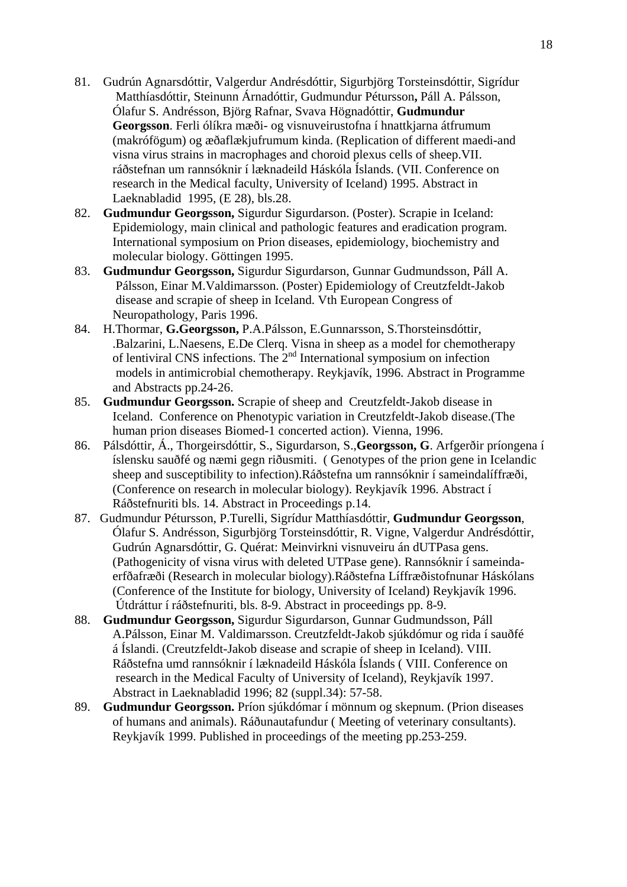- 81. Gudrún Agnarsdóttir, Valgerdur Andrésdóttir, Sigurbjörg Torsteinsdóttir, Sigrídur Matthíasdóttir, Steinunn Árnadóttir, Gudmundur Pétursson**,** Páll A. Pálsson, Ólafur S. Andrésson, Björg Rafnar, Svava Högnadóttir, **Gudmundur Georgsson**. Ferli ólíkra mæði- og visnuveirustofna í hnattkjarna átfrumum (makrófögum) og æðaflækjufrumum kinda. (Replication of different maedi-and visna virus strains in macrophages and choroid plexus cells of sheep.VII. ráðstefnan um rannsóknir í læknadeild Háskóla Íslands. (VII. Conference on research in the Medical faculty, University of Iceland) 1995. Abstract in Laeknabladid 1995, (E 28), bls.28.
- 82. **Gudmundur Georgsson,** Sigurdur Sigurdarson. (Poster). Scrapie in Iceland: Epidemiology, main clinical and pathologic features and eradication program. International symposium on Prion diseases, epidemiology, biochemistry and molecular biology. Göttingen 1995.
- 83. **Gudmundur Georgsson,** Sigurdur Sigurdarson, Gunnar Gudmundsson, Páll A. Pálsson, Einar M.Valdimarsson. (Poster) Epidemiology of Creutzfeldt-Jakob disease and scrapie of sheep in Iceland. Vth European Congress of Neuropathology, Paris 1996.
- 84. H.Thormar, **G.Georgsson,** P.A.Pálsson, E.Gunnarsson, S.Thorsteinsdóttir, .Balzarini, L.Naesens, E.De Clerq. Visna in sheep as a model for chemotherapy of lentiviral CNS infections. The  $2<sup>nd</sup>$  International symposium on infection models in antimicrobial chemotherapy. Reykjavík, 1996. Abstract in Programme and Abstracts pp.24-26.
- 85. **Gudmundur Georgsson.** Scrapie of sheep and Creutzfeldt-Jakob disease in Iceland. Conference on Phenotypic variation in Creutzfeldt-Jakob disease.(The human prion diseases Biomed-1 concerted action). Vienna, 1996.
- 86. Pálsdóttir, Á., Thorgeirsdóttir, S., Sigurdarson, S.,**Georgsson, G**. Arfgerðir príongena í íslensku sauðfé og næmi gegn riðusmiti. ( Genotypes of the prion gene in Icelandic sheep and susceptibility to infection).Ráðstefna um rannsóknir í sameindalíffræði, (Conference on research in molecular biology). Reykjavík 1996. Abstract í Ráðstefnuriti bls. 14. Abstract in Proceedings p.14.
- 87. Gudmundur Pétursson, P.Turelli, Sigrídur Matthíasdóttir, **Gudmundur Georgsson**, Ólafur S. Andrésson, Sigurbjörg Torsteinsdóttir, R. Vigne, Valgerdur Andrésdóttir, Gudrún Agnarsdóttir, G. Quérat: Meinvirkni visnuveiru án dUTPasa gens. (Pathogenicity of visna virus with deleted UTPase gene). Rannsóknir í sameindaerfðafræði (Research in molecular biology).Ráðstefna Líffræðistofnunar Háskólans (Conference of the Institute for biology, University of Iceland) Reykjavík 1996. Útdráttur í ráðstefnuriti, bls. 8-9. Abstract in proceedings pp. 8-9.
- 88. **Gudmundur Georgsson,** Sigurdur Sigurdarson, Gunnar Gudmundsson, Páll A.Pálsson, Einar M. Valdimarsson. Creutzfeldt-Jakob sjúkdómur og rida í sauðfé á Íslandi. (Creutzfeldt-Jakob disease and scrapie of sheep in Iceland). VIII. Ráðstefna umd rannsóknir í læknadeild Háskóla Íslands ( VIII. Conference on research in the Medical Faculty of University of Iceland), Reykjavík 1997. Abstract in Laeknabladid 1996; 82 (suppl.34): 57-58.
- 89. **Gudmundur Georgsson.** Príon sjúkdómar í mönnum og skepnum. (Prion diseases of humans and animals). Ráðunautafundur ( Meeting of veterinary consultants). Reykjavík 1999. Published in proceedings of the meeting pp.253-259.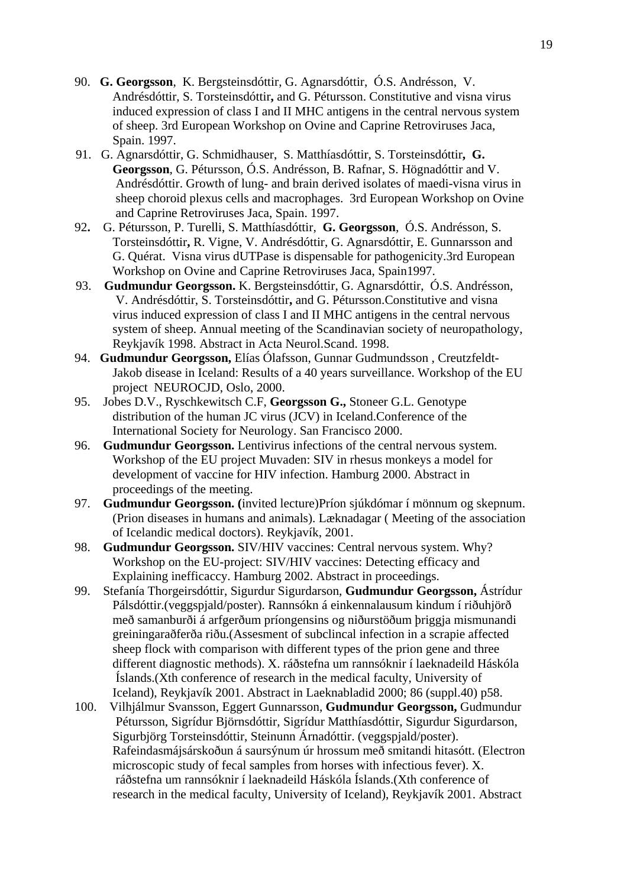- 90. **G. Georgsson**, K. Bergsteinsdóttir, G. Agnarsdóttir, Ó.S. Andrésson, V. Andrésdóttir, S. Torsteinsdóttir**,** and G. Pétursson. Constitutive and visna virus induced expression of class I and II MHC antigens in the central nervous system of sheep. 3rd European Workshop on Ovine and Caprine Retroviruses Jaca, Spain. 1997.
- 91. G. Agnarsdóttir, G. Schmidhauser, S. Matthíasdóttir, S. Torsteinsdóttir**, G. Georgsson**, G. Pétursson, Ó.S. Andrésson, B. Rafnar, S. Högnadóttir and V. Andrésdóttir. Growth of lung- and brain derived isolates of maedi-visna virus in sheep choroid plexus cells and macrophages. 3rd European Workshop on Ovine and Caprine Retroviruses Jaca, Spain. 1997.
- 92**.** G. Pétursson, P. Turelli, S. Matthíasdóttir, **G. Georgsson**, Ó.S. Andrésson, S. Torsteinsdóttir**,** R. Vigne, V. Andrésdóttir, G. Agnarsdóttir, E. Gunnarsson and G. Quérat. Visna virus dUTPase is dispensable for pathogenicity.3rd European Workshop on Ovine and Caprine Retroviruses Jaca, Spain1997.
- 93. **Gudmundur Georgsson.** K. Bergsteinsdóttir, G. Agnarsdóttir, Ó.S. Andrésson, V. Andrésdóttir, S. Torsteinsdóttir**,** and G. Pétursson.Constitutive and visna virus induced expression of class I and II MHC antigens in the central nervous system of sheep. Annual meeting of the Scandinavian society of neuropathology, Reykjavík 1998. Abstract in Acta Neurol.Scand. 1998.
- 94. **Gudmundur Georgsson,** Elías Ólafsson, Gunnar Gudmundsson , Creutzfeldt-Jakob disease in Iceland: Results of a 40 years surveillance. Workshop of the EU project NEUROCJD, Oslo, 2000.
- 95. Jobes D.V., Ryschkewitsch C.F, **Georgsson G.,** Stoneer G.L. Genotype distribution of the human JC virus (JCV) in Iceland.Conference of the International Society for Neurology. San Francisco 2000.
- 96. **Gudmundur Georgsson.** Lentivirus infections of the central nervous system. Workshop of the EU project Muvaden: SIV in rhesus monkeys a model for development of vaccine for HIV infection. Hamburg 2000. Abstract in proceedings of the meeting.
- 97. **Gudmundur Georgsson. (**invited lecture)Príon sjúkdómar í mönnum og skepnum. (Prion diseases in humans and animals). Læknadagar ( Meeting of the association of Icelandic medical doctors). Reykjavík, 2001.
- 98. **Gudmundur Georgsson.** SIV/HIV vaccines: Central nervous system. Why? Workshop on the EU-project: SIV/HIV vaccines: Detecting efficacy and Explaining inefficaccy. Hamburg 2002. Abstract in proceedings.
- 99. Stefanía Thorgeirsdóttir, Sigurdur Sigurdarson, **Gudmundur Georgsson,** Ástrídur Pálsdóttir.(veggspjald/poster). Rannsókn á einkennalausum kindum í riðuhjörð með samanburði á arfgerðum príongensins og niðurstöðum þriggja mismunandi greiningaraðferða riðu.(Assesment of subclincal infection in a scrapie affected sheep flock with comparison with different types of the prion gene and three different diagnostic methods). X. ráðstefna um rannsóknir í laeknadeild Háskóla Íslands.(Xth conference of research in the medical faculty, University of Iceland), Reykjavík 2001. Abstract in Laeknabladid 2000; 86 (suppl.40) p58.
- 100. Vilhjálmur Svansson, Eggert Gunnarsson, **Gudmundur Georgsson,** Gudmundur Pétursson, Sigrídur Björnsdóttir, Sigrídur Matthíasdóttir, Sigurdur Sigurdarson, Sigurbjörg Torsteinsdóttir, Steinunn Árnadóttir. (veggspjald/poster). Rafeindasmájsárskoðun á saursýnum úr hrossum með smitandi hitasótt. (Electron microscopic study of fecal samples from horses with infectious fever). X. ráðstefna um rannsóknir í laeknadeild Háskóla Íslands.(Xth conference of research in the medical faculty, University of Iceland), Reykjavík 2001. Abstract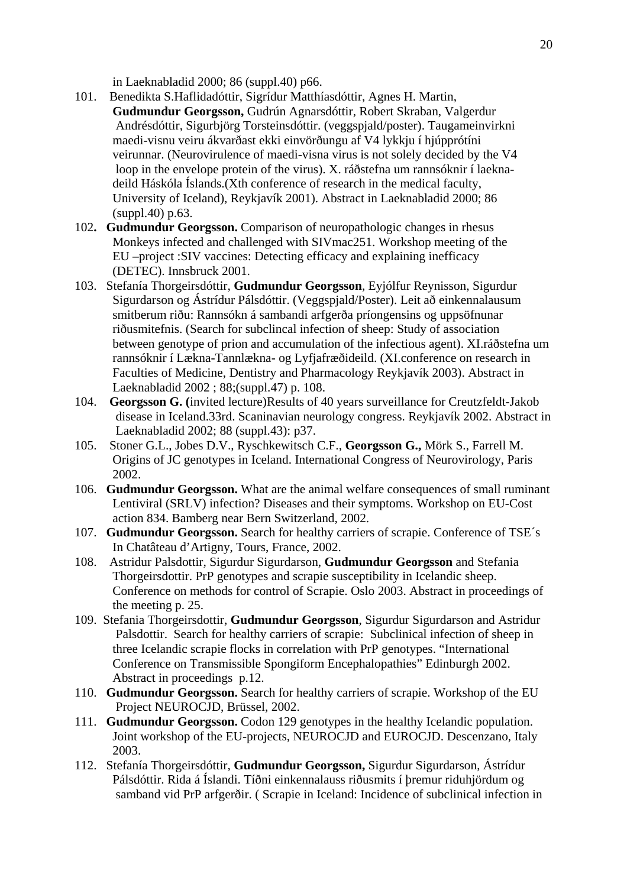in Laeknabladid 2000; 86 (suppl.40) p66.

- 101. Benedikta S.Haflidadóttir, Sigrídur Matthíasdóttir, Agnes H. Martin, **Gudmundur Georgsson,** Gudrún Agnarsdóttir, Robert Skraban, Valgerdur Andrésdóttir, Sigurbjörg Torsteinsdóttir. (veggspjald/poster). Taugameinvirkni maedi-visnu veiru ákvarðast ekki einvörðungu af V4 lykkju í hjúpprótíni veirunnar. (Neurovirulence of maedi-visna virus is not solely decided by the V4 loop in the envelope protein of the virus). X. ráðstefna um rannsóknir í laeknadeild Háskóla Íslands.(Xth conference of research in the medical faculty, University of Iceland), Reykjavík 2001). Abstract in Laeknabladid 2000; 86 (suppl.40) p.63.
- 102**. Gudmundur Georgsson.** Comparison of neuropathologic changes in rhesus Monkeys infected and challenged with SIVmac251. Workshop meeting of the EU –project :SIV vaccines: Detecting efficacy and explaining inefficacy (DETEC). Innsbruck 2001.
- 103. Stefanía Thorgeirsdóttir, **Gudmundur Georgsson**, Eyjólfur Reynisson, Sigurdur Sigurdarson og Ástrídur Pálsdóttir. (Veggspjald/Poster). Leit að einkennalausum smitberum riðu: Rannsókn á sambandi arfgerða príongensins og uppsöfnunar riðusmitefnis. (Search for subclincal infection of sheep: Study of association between genotype of prion and accumulation of the infectious agent). XI.ráðstefna um rannsóknir í Lækna-Tannlækna- og Lyfjafræðideild. (XI.conference on research in Faculties of Medicine, Dentistry and Pharmacology Reykjavík 2003). Abstract in Laeknabladid 2002 ; 88;(suppl.47) p. 108.
- 104. **Georgsson G. (**invited lecture)Results of 40 years surveillance for Creutzfeldt-Jakob disease in Iceland.33rd. Scaninavian neurology congress. Reykjavík 2002. Abstract in Laeknabladid 2002; 88 (suppl.43): p37.
- 105. Stoner G.L., Jobes D.V., Ryschkewitsch C.F., **Georgsson G.,** Mörk S., Farrell M. Origins of JC genotypes in Iceland. International Congress of Neurovirology, Paris 2002.
- 106. **Gudmundur Georgsson.** What are the animal welfare consequences of small ruminant Lentiviral (SRLV) infection? Diseases and their symptoms. Workshop on EU-Cost action 834. Bamberg near Bern Switzerland, 2002.
- 107. **Gudmundur Georgsson.** Search for healthy carriers of scrapie. Conference of TSE´s In Chatâteau d'Artigny, Tours, France, 2002.
- 108. Astridur Palsdottir, Sigurdur Sigurdarson, **Gudmundur Georgsson** and Stefania Thorgeirsdottir. PrP genotypes and scrapie susceptibility in Icelandic sheep. Conference on methods for control of Scrapie. Oslo 2003. Abstract in proceedings of the meeting p. 25.
- 109. Stefania Thorgeirsdottir, **Gudmundur Georgsson**, Sigurdur Sigurdarson and Astridur Palsdottir. Search for healthy carriers of scrapie: Subclinical infection of sheep in three Icelandic scrapie flocks in correlation with PrP genotypes. "International Conference on Transmissible Spongiform Encephalopathies" Edinburgh 2002. Abstract in proceedings p.12.
- 110. **Gudmundur Georgsson.** Search for healthy carriers of scrapie. Workshop of the EU Project NEUROCJD, Brüssel, 2002.
- 111. **Gudmundur Georgsson.** Codon 129 genotypes in the healthy Icelandic population. Joint workshop of the EU-projects, NEUROCJD and EUROCJD. Descenzano, Italy 2003.
- 112. Stefanía Thorgeirsdóttir, **Gudmundur Georgsson,** Sigurdur Sigurdarson, Ástrídur Pálsdóttir. Rida á Íslandi. Tíðni einkennalauss riðusmits í þremur riduhjördum og samband vid PrP arfgerðir. ( Scrapie in Iceland: Incidence of subclinical infection in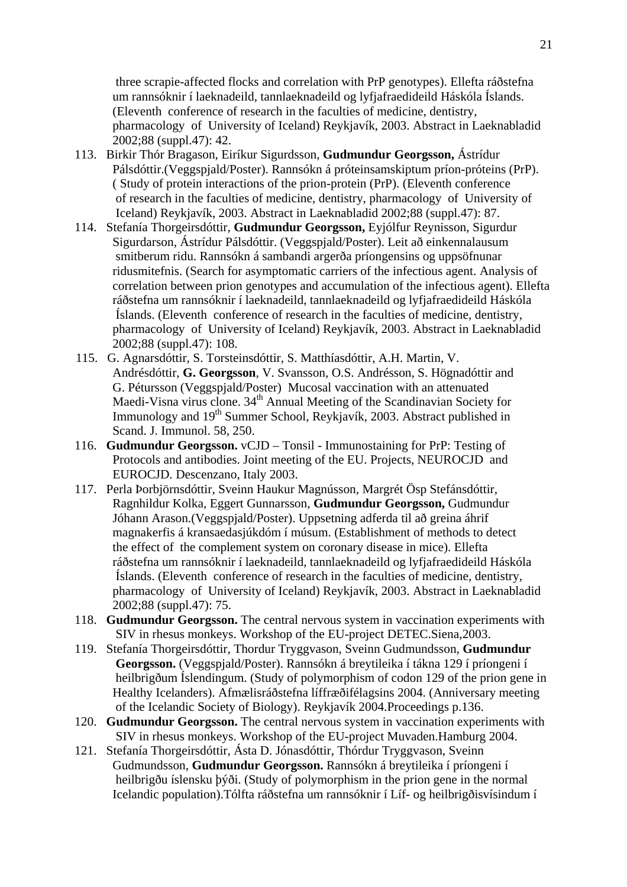three scrapie-affected flocks and correlation with PrP genotypes). Ellefta ráðstefna um rannsóknir í laeknadeild, tannlaeknadeild og lyfjafraedideild Háskóla Íslands. (Eleventh conference of research in the faculties of medicine, dentistry, pharmacology of University of Iceland) Reykjavík, 2003. Abstract in Laeknabladid 2002;88 (suppl.47): 42.

- 113. Birkir Thór Bragason, Eiríkur Sigurdsson, **Gudmundur Georgsson,** Ástrídur Pálsdóttir.(Veggspjald/Poster). Rannsókn á próteinsamskiptum príon-próteins (PrP). ( Study of protein interactions of the prion-protein (PrP). (Eleventh conference of research in the faculties of medicine, dentistry, pharmacology of University of Iceland) Reykjavík, 2003. Abstract in Laeknabladid 2002;88 (suppl.47): 87.
- 114. Stefanía Thorgeirsdóttir, **Gudmundur Georgsson,** Eyjólfur Reynisson, Sigurdur Sigurdarson, Ástrídur Pálsdóttir. (Veggspjald/Poster). Leit að einkennalausum smitberum ridu. Rannsókn á sambandi argerða príongensins og uppsöfnunar ridusmitefnis. (Search for asymptomatic carriers of the infectious agent. Analysis of correlation between prion genotypes and accumulation of the infectious agent). Ellefta ráðstefna um rannsóknir í laeknadeild, tannlaeknadeild og lyfjafraedideild Háskóla Íslands. (Eleventh conference of research in the faculties of medicine, dentistry, pharmacology of University of Iceland) Reykjavík, 2003. Abstract in Laeknabladid 2002;88 (suppl.47): 108.
- 115. G. Agnarsdóttir, S. Torsteinsdóttir, S. Matthíasdóttir, A.H. Martin, V. Andrésdóttir, **G. Georgsson**, V. Svansson, O.S. Andrésson, S. Högnadóttir and G. Pétursson (Veggspjald/Poster) Mucosal vaccination with an attenuated Maedi-Visna virus clone. 34<sup>th</sup> Annual Meeting of the Scandinavian Society for Immunology and 19<sup>th</sup> Summer School, Reykjavík, 2003. Abstract published in Scand. J. Immunol. 58, 250.
- 116. **Gudmundur Georgsson.** vCJD Tonsil Immunostaining for PrP: Testing of Protocols and antibodies. Joint meeting of the EU. Projects, NEUROCJD and EUROCJD. Descenzano, Italy 2003.
- 117. Perla Þorbjörnsdóttir, Sveinn Haukur Magnússon, Margrét Ösp Stefánsdóttir, Ragnhildur Kolka, Eggert Gunnarsson, **Gudmundur Georgsson,** Gudmundur Jóhann Arason.(Veggspjald/Poster). Uppsetning adferda til að greina áhrif magnakerfis á kransaedasjúkdóm í músum. (Establishment of methods to detect the effect of the complement system on coronary disease in mice). Ellefta ráðstefna um rannsóknir í laeknadeild, tannlaeknadeild og lyfjafraedideild Háskóla Íslands. (Eleventh conference of research in the faculties of medicine, dentistry, pharmacology of University of Iceland) Reykjavík, 2003. Abstract in Laeknabladid 2002;88 (suppl.47): 75.
- 118. **Gudmundur Georgsson.** The central nervous system in vaccination experiments with SIV in rhesus monkeys. Workshop of the EU-project DETEC.Siena,2003.
- 119. Stefanía Thorgeirsdóttir, Thordur Tryggvason, Sveinn Gudmundsson, **Gudmundur Georgsson.** (Veggspjald/Poster). Rannsókn á breytileika í tákna 129 í príongeni í heilbrigðum Íslendingum. (Study of polymorphism of codon 129 of the prion gene in Healthy Icelanders). Afmælisráðstefna líffræðifélagsins 2004. (Anniversary meeting of the Icelandic Society of Biology). Reykjavík 2004.Proceedings p.136.
- 120. **Gudmundur Georgsson.** The central nervous system in vaccination experiments with SIV in rhesus monkeys. Workshop of the EU-project Muvaden.Hamburg 2004.
- 121. Stefanía Thorgeirsdóttir, Ásta D. Jónasdóttir, Thórdur Tryggvason, Sveinn Gudmundsson, **Gudmundur Georgsson.** Rannsókn á breytileika í príongeni í heilbrigðu íslensku þýði. (Study of polymorphism in the prion gene in the normal Icelandic population).Tólfta ráðstefna um rannsóknir í Líf- og heilbrigðisvísindum í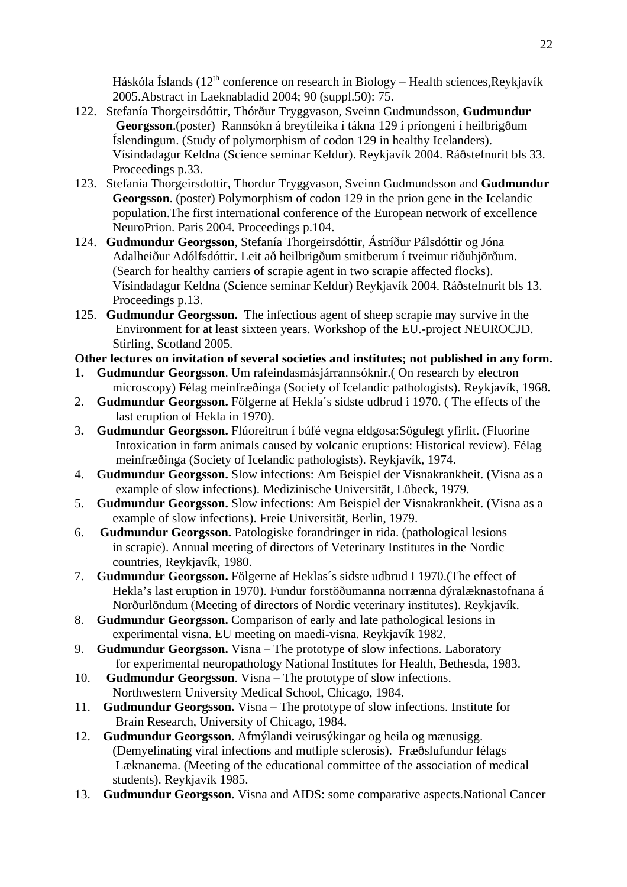Háskóla Íslands ( $12<sup>th</sup>$  conference on research in Biology – Health sciences, Reykjavík 2005.Abstract in Laeknabladid 2004; 90 (suppl.50): 75.

- 122. Stefanía Thorgeirsdóttir, Thórður Tryggvason, Sveinn Gudmundsson, **Gudmundur Georgsson**.(poster) Rannsókn á breytileika í tákna 129 í príongeni í heilbrigðum Íslendingum. (Study of polymorphism of codon 129 in healthy Icelanders). Vísindadagur Keldna (Science seminar Keldur). Reykjavík 2004. Ráðstefnurit bls 33. Proceedings p.33.
- 123. Stefania Thorgeirsdottir, Thordur Tryggvason, Sveinn Gudmundsson and **Gudmundur Georgsson**. (poster) Polymorphism of codon 129 in the prion gene in the Icelandic population.The first international conference of the European network of excellence NeuroPrion. Paris 2004. Proceedings p.104.
- 124. **Gudmundur Georgsson**, Stefanía Thorgeirsdóttir, Ástríður Pálsdóttir og Jóna Adalheiður Adólfsdóttir. Leit að heilbrigðum smitberum í tveimur riðuhjörðum. (Search for healthy carriers of scrapie agent in two scrapie affected flocks). Vísindadagur Keldna (Science seminar Keldur) Reykjavík 2004. Ráðstefnurit bls 13. Proceedings p.13.
- 125. **Gudmundur Georgsson.** The infectious agent of sheep scrapie may survive in the Environment for at least sixteen years. Workshop of the EU.-project NEUROCJD. Stirling, Scotland 2005.

# **Other lectures on invitation of several societies and institutes; not published in any form.**

- 1**. Gudmundur Georgsson**. Um rafeindasmásjárrannsóknir.( On research by electron microscopy) Félag meinfræðinga (Society of Icelandic pathologists). Reykjavík, 1968.
- 2. **Gudmundur Georgsson.** Fölgerne af Hekla´s sidste udbrud i 1970. ( The effects of the last eruption of Hekla in 1970).
- 3**. Gudmundur Georgsson.** Flúoreitrun í búfé vegna eldgosa:Sögulegt yfirlit. (Fluorine Intoxication in farm animals caused by volcanic eruptions: Historical review). Félag meinfræðinga (Society of Icelandic pathologists). Reykjavík, 1974.
- 4. **Gudmundur Georgsson.** Slow infections: Am Beispiel der Visnakrankheit. (Visna as a example of slow infections). Medizinische Universität, Lübeck, 1979.
- 5. **Gudmundur Georgsson.** Slow infections: Am Beispiel der Visnakrankheit. (Visna as a example of slow infections). Freie Universität, Berlin, 1979.
- 6. **Gudmundur Georgsson.** Patologiske forandringer in rida. (pathological lesions in scrapie). Annual meeting of directors of Veterinary Institutes in the Nordic countries, Reykjavík, 1980.
- 7. **Gudmundur Georgsson.** Fölgerne af Heklas´s sidste udbrud I 1970.(The effect of Hekla's last eruption in 1970). Fundur forstöðumanna norrænna dýralæknastofnana á Norðurlöndum (Meeting of directors of Nordic veterinary institutes). Reykjavík.
- 8. **Gudmundur Georgsson.** Comparison of early and late pathological lesions in experimental visna. EU meeting on maedi-visna. Reykjavík 1982.
- 9. **Gudmundur Georgsson.** Visna The prototype of slow infections. Laboratory for experimental neuropathology National Institutes for Health, Bethesda, 1983.
- 10. **Gudmundur Georgsson**. Visna The prototype of slow infections. Northwestern University Medical School, Chicago, 1984.
- 11. **Gudmundur Georgsson.** Visna The prototype of slow infections. Institute for Brain Research, University of Chicago, 1984.
- 12. **Gudmundur Georgsson.** Afmýlandi veirusýkingar og heila og mænusigg. (Demyelinating viral infections and mutliple sclerosis). Fræðslufundur félags Læknanema. (Meeting of the educational committee of the association of medical students). Reykjavík 1985.
- 13. **Gudmundur Georgsson.** Visna and AIDS: some comparative aspects.National Cancer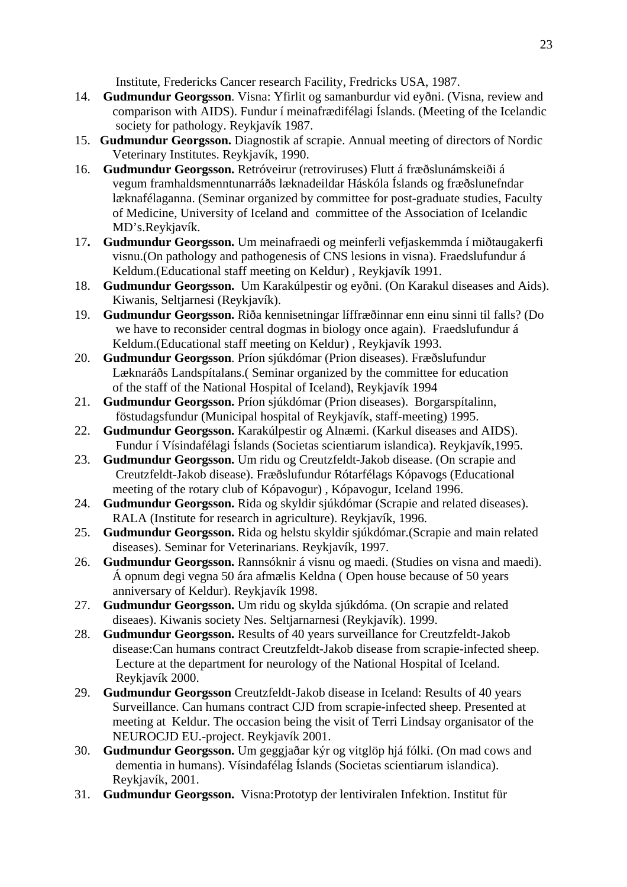Institute, Fredericks Cancer research Facility, Fredricks USA, 1987.

- 14. **Gudmundur Georgsson**. Visna: Yfirlit og samanburdur vid eyðni. (Visna, review and comparison with AIDS). Fundur í meinafrædifélagi Íslands. (Meeting of the Icelandic society for pathology. Reykjavík 1987.
- 15. **Gudmundur Georgsson.** Diagnostik af scrapie. Annual meeting of directors of Nordic Veterinary Institutes. Reykjavík, 1990.
- 16. **Gudmundur Georgsson.** Retróveirur (retroviruses) Flutt á fræðslunámskeiði á vegum framhaldsmenntunarráðs læknadeildar Háskóla Íslands og fræðslunefndar læknafélaganna. (Seminar organized by committee for post-graduate studies, Faculty of Medicine, University of Iceland and committee of the Association of Icelandic MD's.Reykjavík.
- 17**. Gudmundur Georgsson.** Um meinafraedi og meinferli vefjaskemmda í miðtaugakerfi visnu.(On pathology and pathogenesis of CNS lesions in visna). Fraedslufundur á Keldum.(Educational staff meeting on Keldur) , Reykjavík 1991.
- 18. **Gudmundur Georgsson.** Um Karakúlpestir og eyðni. (On Karakul diseases and Aids). Kiwanis, Seltjarnesi (Reykjavík).
- 19. **Gudmundur Georgsson.** Riða kennisetningar líffræðinnar enn einu sinni til falls? (Do we have to reconsider central dogmas in biology once again). Fraedslufundur á Keldum.(Educational staff meeting on Keldur) , Reykjavík 1993.
- 20. **Gudmundur Georgsson**. Príon sjúkdómar (Prion diseases). Fræðslufundur Læknaráðs Landspítalans.( Seminar organized by the committee for education of the staff of the National Hospital of Iceland), Reykjavík 1994
- 21. **Gudmundur Georgsson.** Príon sjúkdómar (Prion diseases). Borgarspítalinn, föstudagsfundur (Municipal hospital of Reykjavík, staff-meeting) 1995.
- 22. **Gudmundur Georgsson.** Karakúlpestir og Alnæmi. (Karkul diseases and AIDS). Fundur í Vísindafélagi Íslands (Societas scientiarum islandica). Reykjavík,1995.
- 23. **Gudmundur Georgsson.** Um ridu og Creutzfeldt-Jakob disease. (On scrapie and Creutzfeldt-Jakob disease). Fræðslufundur Rótarfélags Kópavogs (Educational meeting of the rotary club of Kópavogur) , Kópavogur, Iceland 1996.
- 24. **Gudmundur Georgsson.** Rida og skyldir sjúkdómar (Scrapie and related diseases). RALA (Institute for research in agriculture). Reykjavík, 1996.
- 25. **Gudmundur Georgsson.** Rida og helstu skyldir sjúkdómar.(Scrapie and main related diseases). Seminar for Veterinarians. Reykjavík, 1997.
- 26. **Gudmundur Georgsson.** Rannsóknir á visnu og maedi. (Studies on visna and maedi). Á opnum degi vegna 50 ára afmælis Keldna ( Open house because of 50 years anniversary of Keldur). Reykjavík 1998.
- 27. **Gudmundur Georgsson.** Um ridu og skylda sjúkdóma. (On scrapie and related diseaes). Kiwanis society Nes. Seltjarnarnesi (Reykjavík). 1999.
- 28. **Gudmundur Georgsson.** Results of 40 years surveillance for Creutzfeldt-Jakob disease:Can humans contract Creutzfeldt-Jakob disease from scrapie-infected sheep. Lecture at the department for neurology of the National Hospital of Iceland. Reykjavík 2000.
- 29. **Gudmundur Georgsson** Creutzfeldt-Jakob disease in Iceland: Results of 40 years Surveillance. Can humans contract CJD from scrapie-infected sheep. Presented at meeting at Keldur. The occasion being the visit of Terri Lindsay organisator of the NEUROCJD EU.-project. Reykjavík 2001.
- 30. **Gudmundur Georgsson.** Um geggjaðar kýr og vitglöp hjá fólki. (On mad cows and dementia in humans). Vísindafélag Íslands (Societas scientiarum islandica). Reykjavík, 2001.
- 31. **Gudmundur Georgsson.** Visna:Prototyp der lentiviralen Infektion. Institut für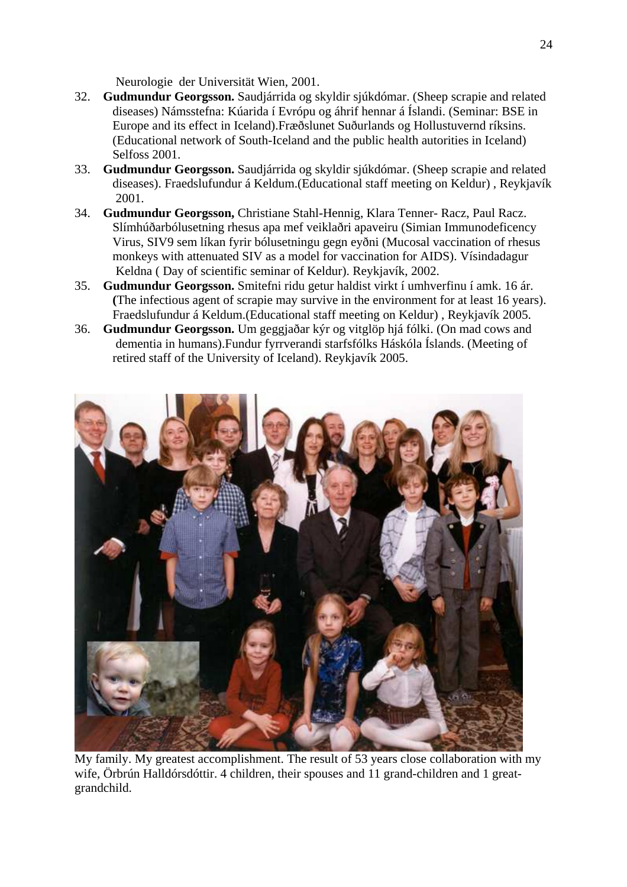Neurologie der Universität Wien, 2001.

- 32. **Gudmundur Georgsson.** Saudjárrida og skyldir sjúkdómar. (Sheep scrapie and related diseases) Námsstefna: Kúarida í Evrópu og áhrif hennar á Íslandi. (Seminar: BSE in Europe and its effect in Iceland).Fræðslunet Suðurlands og Hollustuvernd ríksins. (Educational network of South-Iceland and the public health autorities in Iceland) Selfoss 2001.
- 33. **Gudmundur Georgsson.** Saudjárrida og skyldir sjúkdómar. (Sheep scrapie and related diseases). Fraedslufundur á Keldum.(Educational staff meeting on Keldur) , Reykjavík 2001.
- 34. **Gudmundur Georgsson,** Christiane Stahl-Hennig, Klara Tenner- Racz, Paul Racz. Slímhúðarbólusetning rhesus apa mef veiklaðri apaveiru (Simian Immunodeficency Virus, SIV9 sem líkan fyrir bólusetningu gegn eyðni (Mucosal vaccination of rhesus monkeys with attenuated SIV as a model for vaccination for AIDS). Vísindadagur Keldna ( Day of scientific seminar of Keldur). Reykjavík, 2002.
- 35. **Gudmundur Georgsson.** Smitefni ridu getur haldist virkt í umhverfinu í amk. 16 ár.  **(**The infectious agent of scrapie may survive in the environment for at least 16 years). Fraedslufundur á Keldum.(Educational staff meeting on Keldur) , Reykjavík 2005.
- 36. **Gudmundur Georgsson.** Um geggjaðar kýr og vitglöp hjá fólki. (On mad cows and dementia in humans).Fundur fyrrverandi starfsfólks Háskóla Íslands. (Meeting of retired staff of the University of Iceland). Reykjavík 2005.



My family. My greatest accomplishment. The result of 53 years close collaboration with my wife, Örbrún Halldórsdóttir. 4 children, their spouses and 11 grand-children and 1 greatgrandchild.